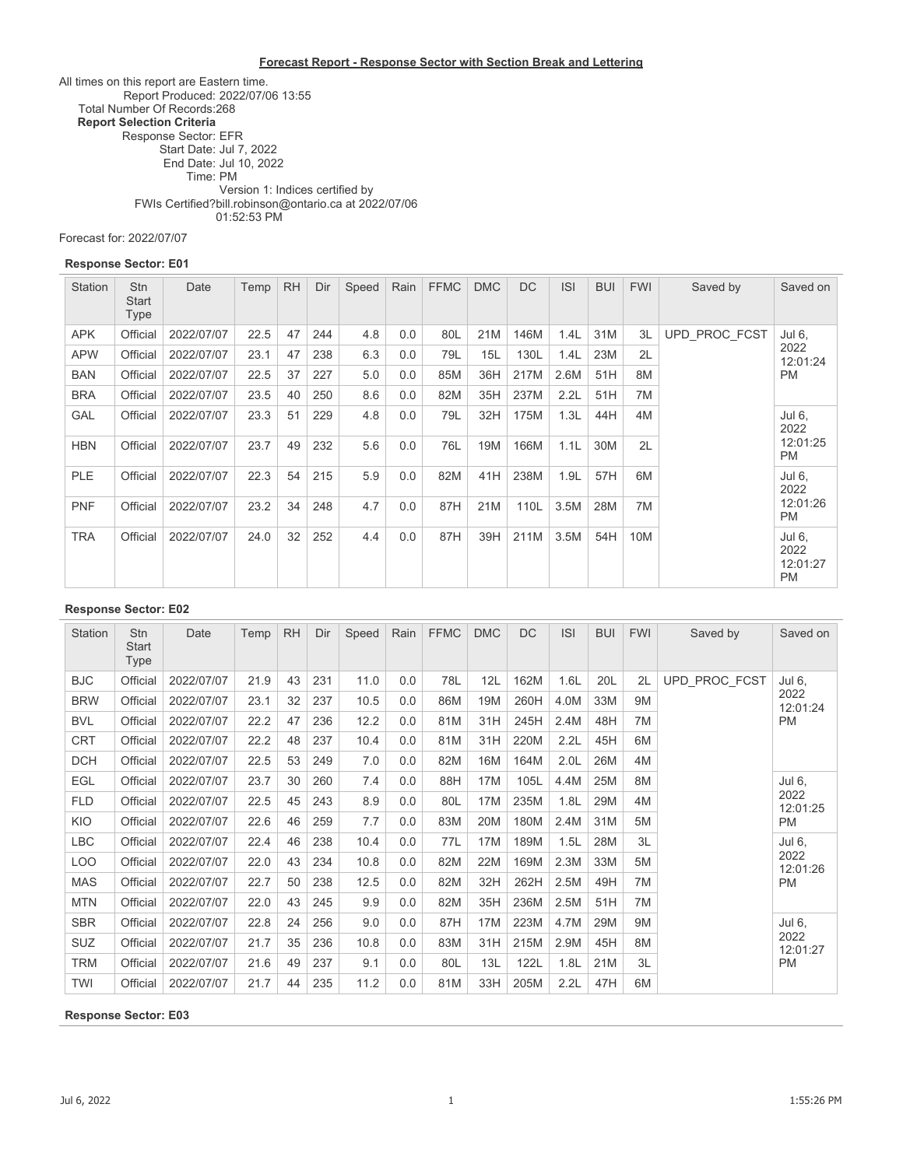#### **Forecast Report - Response Sector with Section Break and Lettering**

All times on this report are Eastern time. Report Produced: 2022/07/06 13:55 Total Number Of Records:268 **Report Selection Criteria** Response Sector: EFR Start Date: Jul 7, 2022 End Date: Jul 10, 2022 Time: PM FWIs Certified? Version 1: Indices certified by bill.robinson@ontario.ca at 2022/07/06 01:52:53 PM

Forecast for: 2022/07/07

#### **Response Sector: E01**

| <b>Station</b> | <b>Stn</b><br><b>Start</b><br>Type | Date       | Temp | <b>RH</b> | Dir | Speed | Rain | <b>FFMC</b> | <b>DMC</b> | <b>DC</b> | <b>ISI</b> | <b>BUI</b> | <b>FWI</b> | Saved by      | Saved on                                |
|----------------|------------------------------------|------------|------|-----------|-----|-------|------|-------------|------------|-----------|------------|------------|------------|---------------|-----------------------------------------|
| <b>APK</b>     | Official                           | 2022/07/07 | 22.5 | 47        | 244 | 4.8   | 0.0  | 80L         | 21M        | 146M      | 1.4L       | 31M        | 3L         | UPD PROC FCST | Jul 6,                                  |
| <b>APW</b>     | Official                           | 2022/07/07 | 23.1 | 47        | 238 | 6.3   | 0.0  | 79L         | 15L        | 130L      | 1.4L       | 23M        | 2L         |               | 2022<br>12:01:24                        |
| <b>BAN</b>     | Official                           | 2022/07/07 | 22.5 | 37        | 227 | 5.0   | 0.0  | 85M         | 36H        | 217M      | 2.6M       | 51H        | 8M         |               | <b>PM</b>                               |
| <b>BRA</b>     | Official                           | 2022/07/07 | 23.5 | 40        | 250 | 8.6   | 0.0  | 82M         | 35H        | 237M      | 2.2L       | 51H        | 7M         |               |                                         |
| <b>GAL</b>     | Official                           | 2022/07/07 | 23.3 | 51        | 229 | 4.8   | 0.0  | 79L         | 32H        | 175M      | 1.3L       | 44H        | 4M         |               | Jul 6.<br>2022                          |
| <b>HBN</b>     | Official                           | 2022/07/07 | 23.7 | 49        | 232 | 5.6   | 0.0  | 76L         | 19M        | 166M      | 1.1L       | 30M        | 2L         |               | 12:01:25<br><b>PM</b>                   |
| PLE            | Official                           | 2022/07/07 | 22.3 | 54        | 215 | 5.9   | 0.0  | 82M         | 41H        | 238M      | 1.9L       | 57H        | 6M         |               | Jul 6,<br>2022                          |
| <b>PNF</b>     | Official                           | 2022/07/07 | 23.2 | 34        | 248 | 4.7   | 0.0  | 87H         | 21M        | 110L      | 3.5M       | 28M        | 7M         |               | 12:01:26<br><b>PM</b>                   |
| <b>TRA</b>     | Official                           | 2022/07/07 | 24.0 | 32        | 252 | 4.4   | 0.0  | 87H         | 39H        | 211M      | 3.5M       | 54H        | 10M        |               | Jul 6,<br>2022<br>12:01:27<br><b>PM</b> |

#### **Response Sector: E02**

| Station    | <b>Stn</b><br>Start<br>Type | Date       | Temp | <b>RH</b> | Dir | Speed | Rain | <b>FFMC</b> | <b>DMC</b>      | <b>DC</b> | <b>ISI</b>       | <b>BUI</b> | <b>FWI</b> | Saved by      | Saved on         |
|------------|-----------------------------|------------|------|-----------|-----|-------|------|-------------|-----------------|-----------|------------------|------------|------------|---------------|------------------|
| <b>BJC</b> | Official                    | 2022/07/07 | 21.9 | 43        | 231 | 11.0  | 0.0  | 78L         | 12L             | 162M      | 1.6L             | 20L        | 2L         | UPD PROC FCST | Jul 6,           |
| <b>BRW</b> | Official                    | 2022/07/07 | 23.1 | 32        | 237 | 10.5  | 0.0  | 86M         | 19M             | 260H      | 4.0M             | 33M        | 9M         |               | 2022<br>12:01:24 |
| <b>BVL</b> | Official                    | 2022/07/07 | 22.2 | 47        | 236 | 12.2  | 0.0  | 81M         | 31H             | 245H      | 2.4M             | 48H        | 7M         |               | PM               |
| <b>CRT</b> | Official                    | 2022/07/07 | 22.2 | 48        | 237 | 10.4  | 0.0  | 81M         | 31H             | 220M      | 2.2L             | 45H        | 6M         |               |                  |
| <b>DCH</b> | Official                    | 2022/07/07 | 22.5 | 53        | 249 | 7.0   | 0.0  | 82M         | 16M             | 164M      | 2.0 <sub>L</sub> | 26M        | 4M         |               |                  |
| <b>EGL</b> | Official                    | 2022/07/07 | 23.7 | 30        | 260 | 7.4   | 0.0  | 88H         | 17M             | 105L      | 4.4M             | 25M        | 8M         |               | Jul 6,           |
| <b>FLD</b> | Official                    | 2022/07/07 | 22.5 | 45        | 243 | 8.9   | 0.0  | 80L         | 17 <sub>M</sub> | 235M      | 1.8L             | 29M        | 4M         |               | 2022<br>12:01:25 |
| <b>KIO</b> | Official                    | 2022/07/07 | 22.6 | 46        | 259 | 7.7   | 0.0  | 83M         | 20M             | 180M      | 2.4M             | 31M        | 5M         |               | PM               |
| <b>LBC</b> | Official                    | 2022/07/07 | 22.4 | 46        | 238 | 10.4  | 0.0  | 77L         | 17 <sub>M</sub> | 189M      | 1.5L             | 28M        | 3L         |               | Jul 6,           |
| <b>LOO</b> | Official                    | 2022/07/07 | 22.0 | 43        | 234 | 10.8  | 0.0  | 82M         | 22M             | 169M      | 2.3M             | 33M        | 5M         |               | 2022<br>12:01:26 |
| <b>MAS</b> | Official                    | 2022/07/07 | 22.7 | 50        | 238 | 12.5  | 0.0  | 82M         | 32H             | 262H      | 2.5M             | 49H        | 7M         |               | PM               |
| <b>MTN</b> | Official                    | 2022/07/07 | 22.0 | 43        | 245 | 9.9   | 0.0  | 82M         | 35H             | 236M      | 2.5M             | 51H        | 7M         |               |                  |
| <b>SBR</b> | Official                    | 2022/07/07 | 22.8 | 24        | 256 | 9.0   | 0.0  | 87H         | 17 <sub>M</sub> | 223M      | 4.7M             | 29M        | 9M         |               | Jul 6,           |
| <b>SUZ</b> | Official                    | 2022/07/07 | 21.7 | 35        | 236 | 10.8  | 0.0  | 83M         | 31H             | 215M      | 2.9M             | 45H        | 8M         |               | 2022<br>12:01:27 |
| <b>TRM</b> | Official                    | 2022/07/07 | 21.6 | 49        | 237 | 9.1   | 0.0  | 80L         | 13L             | 122L      | 1.8L             | 21M        | 3L         |               | PM               |
| <b>TWI</b> | Official                    | 2022/07/07 | 21.7 | 44        | 235 | 11.2  | 0.0  | 81M         | 33H             | 205M      | 2.2L             | 47H        | 6M         |               |                  |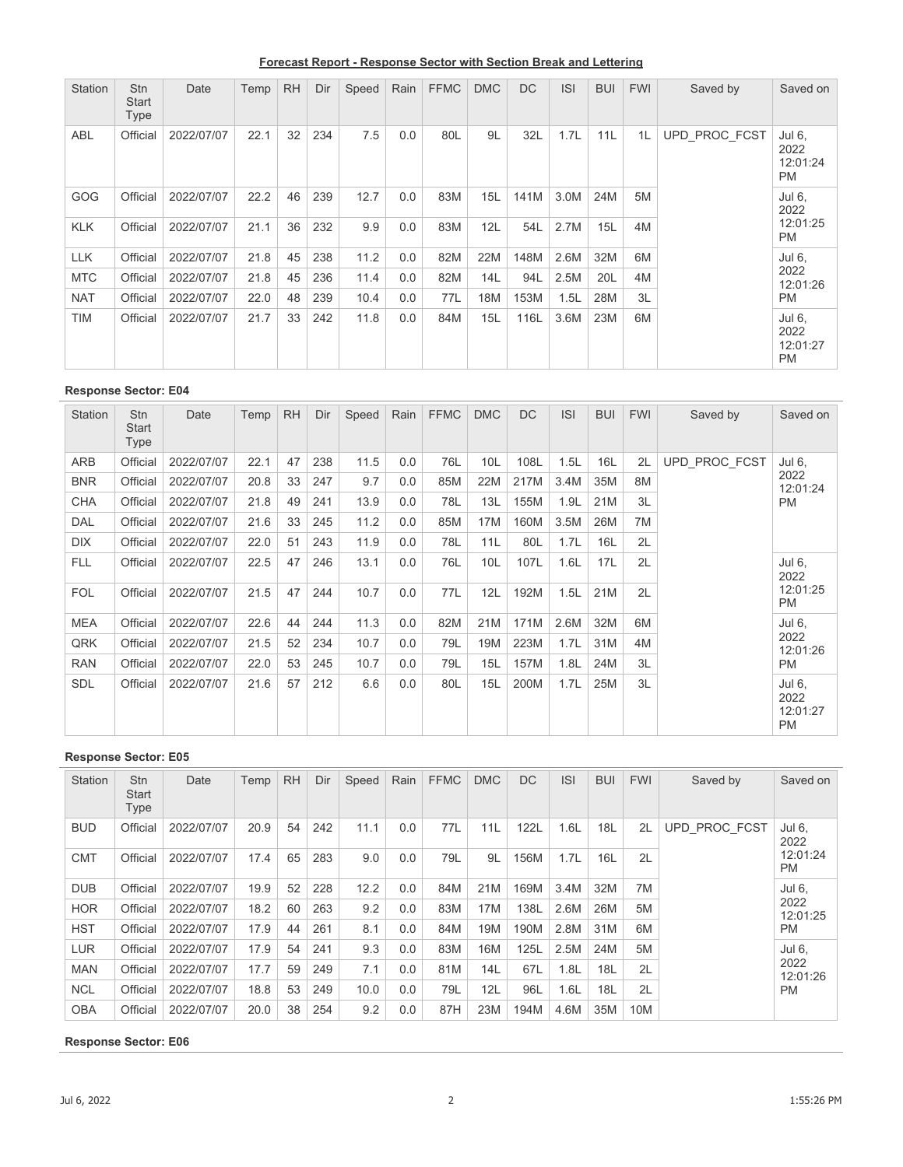**Forecast Report - Response Sector with Section Break and Lettering**

| Station    | Stn<br>Start<br>Type | Date       | Temp | <b>RH</b> | Dir | Speed | Rain | <b>FFMC</b> | <b>DMC</b> | <b>DC</b> | <b>ISI</b> | <b>BUI</b> | <b>FWI</b> | Saved by      | Saved on                                |
|------------|----------------------|------------|------|-----------|-----|-------|------|-------------|------------|-----------|------------|------------|------------|---------------|-----------------------------------------|
| ABL        | Official             | 2022/07/07 | 22.1 | 32        | 234 | 7.5   | 0.0  | 80L         | 9L         | 32L       | 1.7L       | 11L        | 1L         | UPD PROC FCST | Jul 6,<br>2022<br>12:01:24<br><b>PM</b> |
| GOG        | Official             | 2022/07/07 | 22.2 | 46        | 239 | 12.7  | 0.0  | 83M         | 15L        | 141M      | 3.0M       | 24M        | 5M         |               | Jul 6,<br>2022                          |
| <b>KLK</b> | Official             | 2022/07/07 | 21.1 | 36        | 232 | 9.9   | 0.0  | 83M         | 12L        | 54L       | 2.7M       | 15L        | 4M         |               | 12:01:25<br><b>PM</b>                   |
| <b>LLK</b> | Official             | 2022/07/07 | 21.8 | 45        | 238 | 11.2  | 0.0  | 82M         | 22M        | 148M      | 2.6M       | 32M        | 6M         |               | Jul 6,                                  |
| <b>MTC</b> | Official             | 2022/07/07 | 21.8 | 45        | 236 | 11.4  | 0.0  | 82M         | 14L        | 94L       | 2.5M       | 20L        | 4M         |               | 2022<br>12:01:26                        |
| <b>NAT</b> | Official             | 2022/07/07 | 22.0 | 48        | 239 | 10.4  | 0.0  | 77L         | 18M        | 153M      | 1.5L       | 28M        | 3L         |               | <b>PM</b>                               |
| <b>TIM</b> | Official             | 2022/07/07 | 21.7 | 33        | 242 | 11.8  | 0.0  | 84M         | 15L        | 116L      | 3.6M       | 23M        | 6M         |               | Jul 6,<br>2022<br>12:01:27<br><b>PM</b> |

| <b>Station</b> | <b>Stn</b><br>Start<br>Type | Date       | Temp | <b>RH</b> | Dir | Speed | Rain | <b>FFMC</b> | <b>DMC</b>      | <b>DC</b> | <b>ISI</b> | <b>BUI</b> | <b>FWI</b> | Saved by      | Saved on                                |
|----------------|-----------------------------|------------|------|-----------|-----|-------|------|-------------|-----------------|-----------|------------|------------|------------|---------------|-----------------------------------------|
| ARB            | Official                    | 2022/07/07 | 22.1 | 47        | 238 | 11.5  | 0.0  | 76L         | 10 <sub>L</sub> | 108L      | 1.5L       | 16L        | 2L         | UPD PROC FCST | Jul 6,                                  |
| <b>BNR</b>     | Official                    | 2022/07/07 | 20.8 | 33        | 247 | 9.7   | 0.0  | 85M         | 22M             | 217M      | 3.4M       | 35M        | 8M         |               | 2022<br>12:01:24                        |
| <b>CHA</b>     | Official                    | 2022/07/07 | 21.8 | 49        | 241 | 13.9  | 0.0  | 78L         | 13L             | 155M      | 1.9L       | 21M        | 3L         |               | <b>PM</b>                               |
| <b>DAL</b>     | Official                    | 2022/07/07 | 21.6 | 33        | 245 | 11.2  | 0.0  | 85M         | 17 <sub>M</sub> | 160M      | 3.5M       | 26M        | 7M         |               |                                         |
| <b>DIX</b>     | Official                    | 2022/07/07 | 22.0 | 51        | 243 | 11.9  | 0.0  | 78L         | 11L             | 80L       | 1.7L       | 16L        | 2L         |               |                                         |
| <b>FLL</b>     | Official                    | 2022/07/07 | 22.5 | 47        | 246 | 13.1  | 0.0  | 76L         | 10 <sub>L</sub> | 107L      | 1.6L       | 17L        | 2L         |               | Jul 6,<br>2022                          |
| <b>FOL</b>     | Official                    | 2022/07/07 | 21.5 | 47        | 244 | 10.7  | 0.0  | 77L         | 12L             | 192M      | 1.5L       | 21M        | 2L         |               | 12:01:25<br><b>PM</b>                   |
| <b>MEA</b>     | Official                    | 2022/07/07 | 22.6 | 44        | 244 | 11.3  | 0.0  | 82M         | 21M             | 171M      | 2.6M       | 32M        | 6M         |               | Jul 6,                                  |
| QRK            | Official                    | 2022/07/07 | 21.5 | 52        | 234 | 10.7  | 0.0  | 79L         | 19M             | 223M      | 1.7L       | 31M        | 4M         |               | 2022<br>12:01:26                        |
| <b>RAN</b>     | Official                    | 2022/07/07 | 22.0 | 53        | 245 | 10.7  | 0.0  | 79L         | 15L             | 157M      | 1.8L       | 24M        | 3L         |               | <b>PM</b>                               |
| <b>SDL</b>     | Official                    | 2022/07/07 | 21.6 | 57        | 212 | 6.6   | 0.0  | 80L         | 15L             | 200M      | 1.7L       | 25M        | 3L         |               | Jul 6,<br>2022<br>12:01:27<br><b>PM</b> |

### **Response Sector: E05**

| Station    | <b>Stn</b><br><b>Start</b><br>Type | Date       | Temp | <b>RH</b> | Dir | Speed | Rain | <b>FFMC</b> | <b>DMC</b> | <b>DC</b> | <b>ISI</b> | <b>BUI</b> | <b>FWI</b> | Saved by      | Saved on              |
|------------|------------------------------------|------------|------|-----------|-----|-------|------|-------------|------------|-----------|------------|------------|------------|---------------|-----------------------|
| <b>BUD</b> | Official                           | 2022/07/07 | 20.9 | 54        | 242 | 11.1  | 0.0  | 77L         | 11L        | 122L      | 1.6L       | 18L        | 2L         | UPD PROC FCST | Jul 6,<br>2022        |
| <b>CMT</b> | Official                           | 2022/07/07 | 17.4 | 65        | 283 | 9.0   | 0.0  | 79L         | 9L         | 156M      | 1.7L       | 16L        | 2L         |               | 12:01:24<br><b>PM</b> |
| <b>DUB</b> | Official                           | 2022/07/07 | 19.9 | 52        | 228 | 12.2  | 0.0  | 84M         | 21M        | 169M      | 3.4M       | 32M        | 7M         |               | Jul 6.                |
| <b>HOR</b> | Official                           | 2022/07/07 | 18.2 | 60        | 263 | 9.2   | 0.0  | 83M         | 17M        | 138L      | 2.6M       | 26M        | 5M         |               | 2022<br>12:01:25      |
| <b>HST</b> | Official                           | 2022/07/07 | 17.9 | 44        | 261 | 8.1   | 0.0  | 84M         | 19M        | 190M      | 2.8M       | 31M        | 6M         |               | <b>PM</b>             |
| <b>LUR</b> | Official                           | 2022/07/07 | 17.9 | 54        | 241 | 9.3   | 0.0  | 83M         | 16M        | 125L      | 2.5M       | 24M        | 5M         |               | Jul 6.                |
| <b>MAN</b> | Official                           | 2022/07/07 | 17.7 | 59        | 249 | 7.1   | 0.0  | 81M         | 14L        | 67L       | 1.8L       | 18L        | 2L         |               | 2022<br>12:01:26      |
| <b>NCL</b> | Official                           | 2022/07/07 | 18.8 | 53        | 249 | 10.0  | 0.0  | 79L         | 12L        | 96L       | 1.6L       | 18L        | 2L         |               | <b>PM</b>             |
| <b>OBA</b> | Official                           | 2022/07/07 | 20.0 | 38        | 254 | 9.2   | 0.0  | 87H         | 23M        | 194M      | 4.6M       | 35M        | 10M        |               |                       |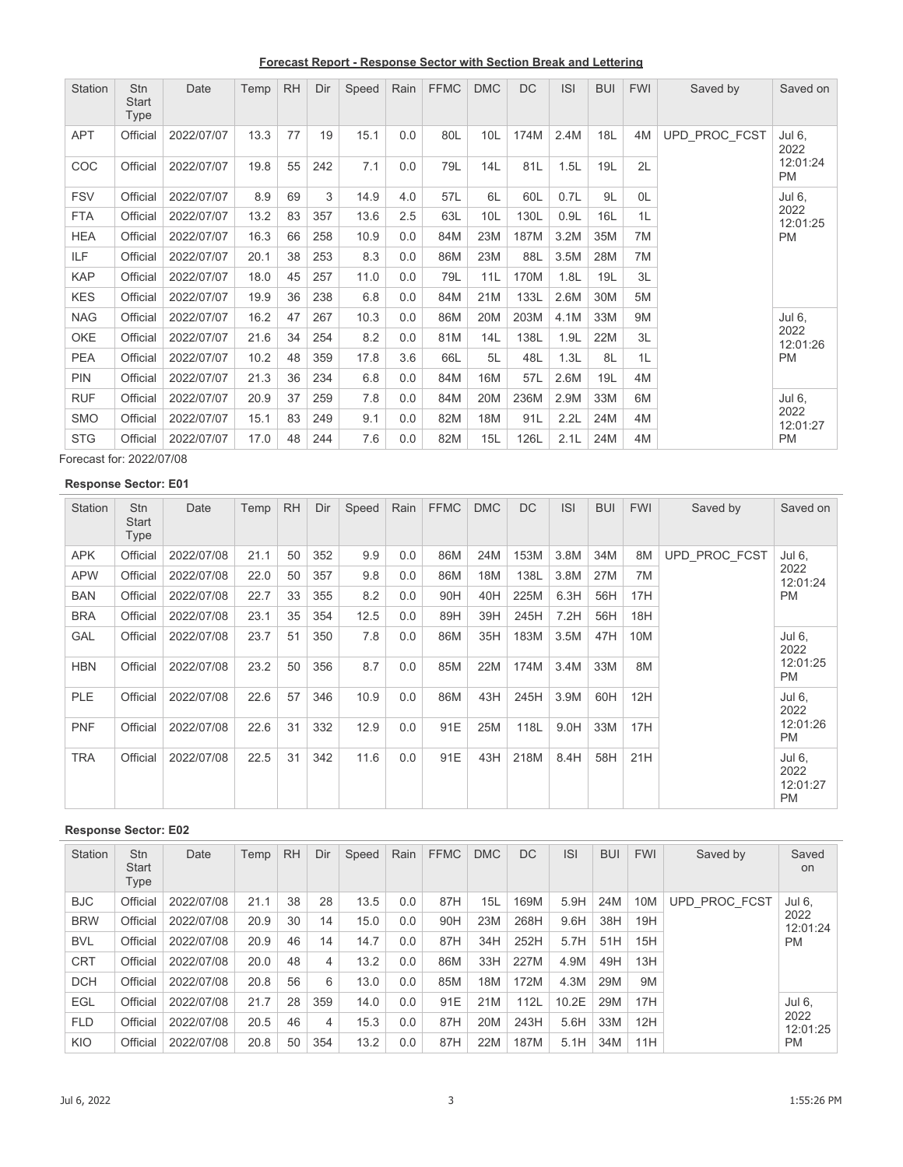**Forecast Report - Response Sector with Section Break and Lettering**

| Station    | <b>Stn</b><br><b>Start</b><br>Type | Date       | Temp | <b>RH</b> | Dir | Speed | Rain | <b>FFMC</b> | <b>DMC</b> | <b>DC</b> | <b>ISI</b> | <b>BUI</b> | <b>FWI</b> | Saved by      | Saved on              |
|------------|------------------------------------|------------|------|-----------|-----|-------|------|-------------|------------|-----------|------------|------------|------------|---------------|-----------------------|
| <b>APT</b> | Official                           | 2022/07/07 | 13.3 | 77        | 19  | 15.1  | 0.0  | 80L         | 10L        | 174M      | 2.4M       | 18L        | 4M         | UPD PROC FCST | Jul 6,<br>2022        |
| COC        | Official                           | 2022/07/07 | 19.8 | 55        | 242 | 7.1   | 0.0  | 79L         | 14L        | 81L       | 1.5L       | 19L        | 2L         |               | 12:01:24<br><b>PM</b> |
| <b>FSV</b> | Official                           | 2022/07/07 | 8.9  | 69        | 3   | 14.9  | 4.0  | 57L         | 6L         | 60L       | 0.7L       | 9L         | 0L         |               | Jul 6,                |
| <b>FTA</b> | Official                           | 2022/07/07 | 13.2 | 83        | 357 | 13.6  | 2.5  | 63L         | 10L        | 130L      | 0.9L       | 16L        | 1L         |               | 2022<br>12:01:25      |
| <b>HEA</b> | Official                           | 2022/07/07 | 16.3 | 66        | 258 | 10.9  | 0.0  | 84M         | 23M        | 187M      | 3.2M       | 35M        | 7M         |               | <b>PM</b>             |
| ILF        | Official                           | 2022/07/07 | 20.1 | 38        | 253 | 8.3   | 0.0  | 86M         | 23M        | 88L       | 3.5M       | 28M        | 7M         |               |                       |
| <b>KAP</b> | Official                           | 2022/07/07 | 18.0 | 45        | 257 | 11.0  | 0.0  | 79L         | 11L        | 170M      | 1.8L       | 19L        | 3L         |               |                       |
| <b>KES</b> | Official                           | 2022/07/07 | 19.9 | 36        | 238 | 6.8   | 0.0  | 84M         | 21M        | 133L      | 2.6M       | 30M        | 5M         |               |                       |
| <b>NAG</b> | Official                           | 2022/07/07 | 16.2 | 47        | 267 | 10.3  | 0.0  | 86M         | 20M        | 203M      | 4.1M       | 33M        | 9M         |               | Jul 6,                |
| <b>OKE</b> | Official                           | 2022/07/07 | 21.6 | 34        | 254 | 8.2   | 0.0  | 81M         | 14L        | 138L      | 1.9L       | 22M        | 3L         |               | 2022<br>12:01:26      |
| <b>PEA</b> | Official                           | 2022/07/07 | 10.2 | 48        | 359 | 17.8  | 3.6  | 66L         | 5L         | 48L       | 1.3L       | 8L         | 1L         |               | PM                    |
| <b>PIN</b> | Official                           | 2022/07/07 | 21.3 | 36        | 234 | 6.8   | 0.0  | 84M         | 16M        | 57L       | 2.6M       | 19L        | 4M         |               |                       |
| <b>RUF</b> | Official                           | 2022/07/07 | 20.9 | 37        | 259 | 7.8   | 0.0  | 84M         | 20M        | 236M      | 2.9M       | 33M        | 6M         |               | Jul 6,                |
| <b>SMO</b> | Official                           | 2022/07/07 | 15.1 | 83        | 249 | 9.1   | 0.0  | 82M         | 18M        | 91L       | 2.2L       | 24M        | 4M         |               | 2022<br>12:01:27      |
| <b>STG</b> | Official                           | 2022/07/07 | 17.0 | 48        | 244 | 7.6   | 0.0  | 82M         | 15L        | 126L      | 2.1L       | 24M        | 4M         |               | <b>PM</b>             |

Forecast for: 2022/07/08

# **Response Sector: E01**

| <b>Station</b> | Stn<br><b>Start</b><br>Type | Date       | Temp | <b>RH</b> | Dir | Speed | Rain | <b>FFMC</b> | <b>DMC</b> | <b>DC</b> | <b>ISI</b> | <b>BUI</b> | <b>FWI</b> | Saved by      | Saved on                                |
|----------------|-----------------------------|------------|------|-----------|-----|-------|------|-------------|------------|-----------|------------|------------|------------|---------------|-----------------------------------------|
| <b>APK</b>     | Official                    | 2022/07/08 | 21.1 | 50        | 352 | 9.9   | 0.0  | 86M         | 24M        | 153M      | 3.8M       | 34M        | 8M         | UPD PROC FCST | Jul 6,                                  |
| <b>APW</b>     | Official                    | 2022/07/08 | 22.0 | 50        | 357 | 9.8   | 0.0  | 86M         | 18M        | 138L      | 3.8M       | 27M        | 7M         |               | 2022<br>12:01:24                        |
| <b>BAN</b>     | Official                    | 2022/07/08 | 22.7 | 33        | 355 | 8.2   | 0.0  | 90H         | 40H        | 225M      | 6.3H       | 56H        | 17H        |               | <b>PM</b>                               |
| <b>BRA</b>     | Official                    | 2022/07/08 | 23.1 | 35        | 354 | 12.5  | 0.0  | 89H         | 39H        | 245H      | 7.2H       | 56H        | 18H        |               |                                         |
| <b>GAL</b>     | Official                    | 2022/07/08 | 23.7 | 51        | 350 | 7.8   | 0.0  | 86M         | 35H        | 183M      | 3.5M       | 47H        | 10M        |               | Jul 6,<br>2022                          |
| <b>HBN</b>     | Official                    | 2022/07/08 | 23.2 | 50        | 356 | 8.7   | 0.0  | 85M         | 22M        | 174M      | 3.4M       | 33M        | 8M         |               | 12:01:25<br><b>PM</b>                   |
| <b>PLE</b>     | Official                    | 2022/07/08 | 22.6 | 57        | 346 | 10.9  | 0.0  | 86M         | 43H        | 245H      | 3.9M       | 60H        | 12H        |               | Jul 6,<br>2022                          |
| <b>PNF</b>     | Official                    | 2022/07/08 | 22.6 | 31        | 332 | 12.9  | 0.0  | 91E         | 25M        | 118L      | 9.0H       | 33M        | 17H        |               | 12:01:26<br><b>PM</b>                   |
| TRA            | Official                    | 2022/07/08 | 22.5 | 31        | 342 | 11.6  | 0.0  | 91E         | 43H        | 218M      | 8.4H       | 58H        | 21H        |               | Jul 6,<br>2022<br>12:01:27<br><b>PM</b> |

| Station    | <b>Stn</b><br><b>Start</b><br>Type | Date       | Temp | <b>RH</b> | Dir | Speed | Rain | <b>FFMC</b> | <b>DMC</b> | <b>DC</b> | <b>ISI</b> | <b>BUI</b> | <b>FWI</b> | Saved by      | Saved<br>on      |
|------------|------------------------------------|------------|------|-----------|-----|-------|------|-------------|------------|-----------|------------|------------|------------|---------------|------------------|
| <b>BJC</b> | Official                           | 2022/07/08 | 21.1 | 38        | 28  | 13.5  | 0.0  | 87H         | 15L        | 169M      | 5.9H       | 24M        | 10M        | UPD PROC FCST | Jul 6,           |
| <b>BRW</b> | Official                           | 2022/07/08 | 20.9 | 30        | 14  | 15.0  | 0.0  | 90H         | 23M        | 268H      | 9.6H       | 38H        | 19H        |               | 2022<br>12:01:24 |
| <b>BVL</b> | Official                           | 2022/07/08 | 20.9 | 46        | 14  | 14.7  | 0.0  | 87H         | 34H        | 252H      | 5.7H       | 51H        | 15H        |               | <b>PM</b>        |
| <b>CRT</b> | Official                           | 2022/07/08 | 20.0 | 48        | 4   | 13.2  | 0.0  | 86M         | 33H        | 227M      | 4.9M       | 49H        | 13H        |               |                  |
| <b>DCH</b> | Official                           | 2022/07/08 | 20.8 | 56        | 6   | 13.0  | 0.0  | 85M         | 18M        | 172M      | 4.3M       | 29M        | 9M         |               |                  |
| <b>EGL</b> | Official                           | 2022/07/08 | 21.7 | 28        | 359 | 14.0  | 0.0  | 91E         | 21M        | 112L      | 10.2E      | 29M        | 17H        |               | Jul 6,           |
| <b>FLD</b> | Official                           | 2022/07/08 | 20.5 | 46        | 4   | 15.3  | 0.0  | 87H         | 20M        | 243H      | 5.6H       | 33M        | 12H        |               | 2022<br>12:01:25 |
| KIO        | Official                           | 2022/07/08 | 20.8 | 50        | 354 | 13.2  | 0.0  | 87H         | 22M        | 187M      | 5.1H       | 34M        | 11H        |               | <b>PM</b>        |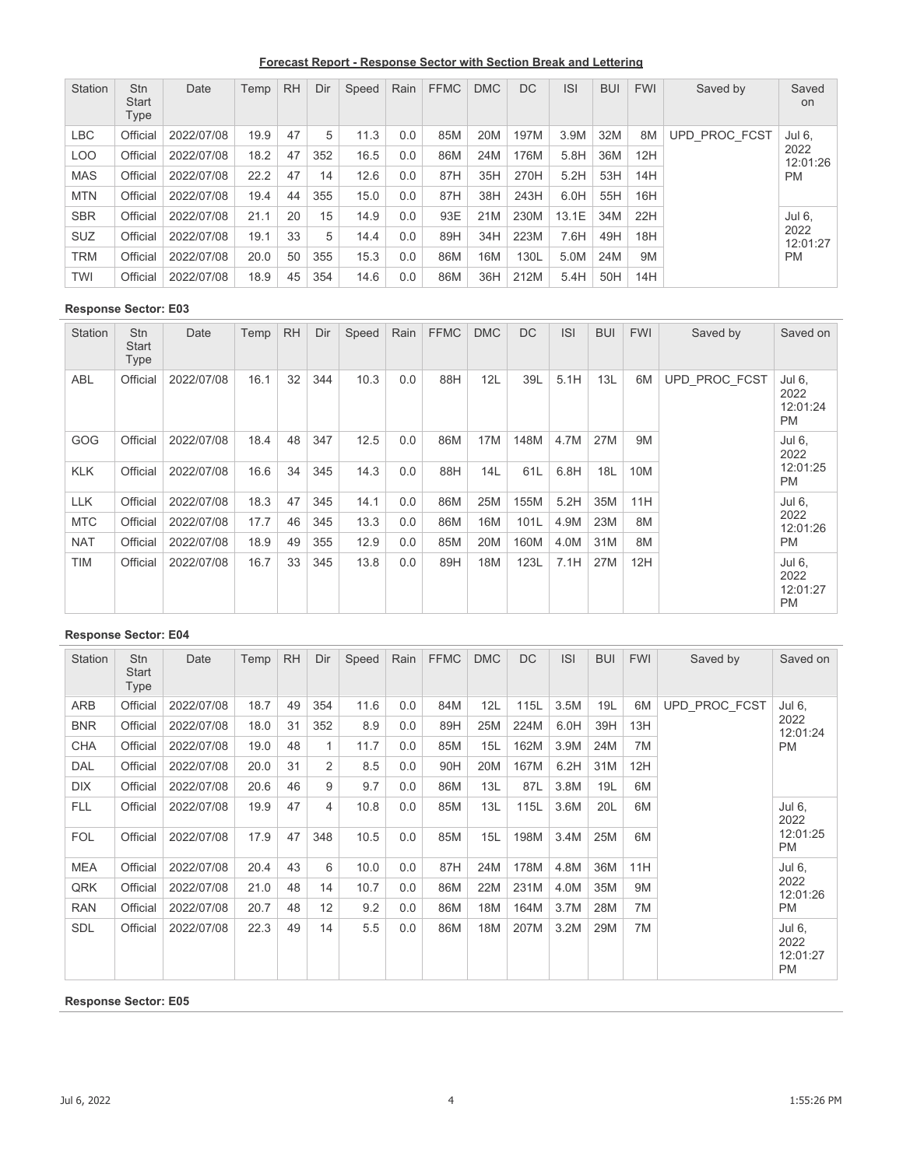**Forecast Report - Response Sector with Section Break and Lettering**

| <b>Station</b> | <b>Stn</b><br><b>Start</b><br>Type | Date       | Temp | <b>RH</b> | Dir | Speed | Rain | <b>FFMC</b> | <b>DMC</b> | <b>DC</b> | <b>ISI</b> | <b>BUI</b> | <b>FWI</b> | Saved by      | Saved<br>on      |
|----------------|------------------------------------|------------|------|-----------|-----|-------|------|-------------|------------|-----------|------------|------------|------------|---------------|------------------|
| LBC            | Official                           | 2022/07/08 | 19.9 | 47        | 5   | 11.3  | 0.0  | 85M         | 20M        | 197M      | 3.9M       | 32M        | 8M         | UPD PROC FCST | Jul 6,           |
| LOO            | Official                           | 2022/07/08 | 18.2 | 47        | 352 | 16.5  | 0.0  | 86M         | 24M        | 176M      | 5.8H       | 36M        | 12H        |               | 2022<br>12:01:26 |
| <b>MAS</b>     | Official                           | 2022/07/08 | 22.2 | 47        | 14  | 12.6  | 0.0  | 87H         | 35H        | 270H      | 5.2H       | 53H        | 14H        |               | <b>PM</b>        |
| <b>MTN</b>     | Official                           | 2022/07/08 | 19.4 | 44        | 355 | 15.0  | 0.0  | 87H         | 38H        | 243H      | 6.0H       | 55H        | 16H        |               |                  |
| <b>SBR</b>     | Official                           | 2022/07/08 | 21.1 | 20        | 15  | 14.9  | 0.0  | 93E         | 21M        | 230M      | 13.1E      | 34M        | 22H        |               | Jul 6.           |
| <b>SUZ</b>     | Official                           | 2022/07/08 | 19.1 | 33        | 5   | 14.4  | 0.0  | 89H         | 34H        | 223M      | 7.6H       | 49H        | 18H        |               | 2022<br>12:01:27 |
| <b>TRM</b>     | Official                           | 2022/07/08 | 20.0 | 50        | 355 | 15.3  | 0.0  | 86M         | 16M        | 130L      | 5.0M       | 24M        | 9M         |               | <b>PM</b>        |
| TWI            | Official                           | 2022/07/08 | 18.9 | 45        | 354 | 14.6  | 0.0  | 86M         | 36H        | 212M      | 5.4H       | 50H        | 14H        |               |                  |

| <b>Station</b> | <b>Stn</b><br>Start<br><b>Type</b> | Date       | Temp | <b>RH</b> | Dir | Speed | Rain | <b>FFMC</b> | <b>DMC</b> | <b>DC</b> | <b>ISI</b> | <b>BUI</b> | <b>FWI</b> | Saved by      | Saved on                                |
|----------------|------------------------------------|------------|------|-----------|-----|-------|------|-------------|------------|-----------|------------|------------|------------|---------------|-----------------------------------------|
| <b>ABL</b>     | Official                           | 2022/07/08 | 16.1 | 32        | 344 | 10.3  | 0.0  | 88H         | 12L        | 39L       | 5.1H       | 13L        | 6M         | UPD PROC FCST | Jul 6,<br>2022<br>12:01:24<br><b>PM</b> |
| <b>GOG</b>     | Official                           | 2022/07/08 | 18.4 | 48        | 347 | 12.5  | 0.0  | 86M         | 17M        | 148M      | 4.7M       | 27M        | 9M         |               | Jul 6,<br>2022                          |
| <b>KLK</b>     | Official                           | 2022/07/08 | 16.6 | 34        | 345 | 14.3  | 0.0  | 88H         | 14L        | 61L       | 6.8H       | 18L        | 10M        |               | 12:01:25<br><b>PM</b>                   |
| <b>LLK</b>     | Official                           | 2022/07/08 | 18.3 | 47        | 345 | 14.1  | 0.0  | 86M         | 25M        | 155M      | 5.2H       | 35M        | 11H        |               | Jul 6,                                  |
| <b>MTC</b>     | Official                           | 2022/07/08 | 17.7 | 46        | 345 | 13.3  | 0.0  | 86M         | 16M        | 101L      | 4.9M       | 23M        | 8M         |               | 2022<br>12:01:26                        |
| <b>NAT</b>     | Official                           | 2022/07/08 | 18.9 | 49        | 355 | 12.9  | 0.0  | 85M         | 20M        | 160M      | 4.0M       | 31M        | 8M         |               | <b>PM</b>                               |
| <b>TIM</b>     | Official                           | 2022/07/08 | 16.7 | 33        | 345 | 13.8  | 0.0  | 89H         | 18M        | 123L      | 7.1H       | 27M        | 12H        |               | Jul 6,<br>2022<br>12:01:27<br><b>PM</b> |

# **Response Sector: E04**

| <b>Station</b> | Stn<br><b>Start</b><br>Type | Date       | Temp | <b>RH</b> | Dir            | Speed | Rain | <b>FFMC</b> | <b>DMC</b> | <b>DC</b> | <b>ISI</b> | <b>BUI</b> | <b>FWI</b> | Saved by      | Saved on                         |
|----------------|-----------------------------|------------|------|-----------|----------------|-------|------|-------------|------------|-----------|------------|------------|------------|---------------|----------------------------------|
| <b>ARB</b>     | Official                    | 2022/07/08 | 18.7 | 49        | 354            | 11.6  | 0.0  | 84M         | 12L        | 115L      | 3.5M       | 19L        | 6M         | UPD_PROC_FCST | Jul 6.                           |
| <b>BNR</b>     | Official                    | 2022/07/08 | 18.0 | 31        | 352            | 8.9   | 0.0  | 89H         | 25M        | 224M      | 6.0H       | 39H        | 13H        |               | 2022<br>12:01:24                 |
| <b>CHA</b>     | Official                    | 2022/07/08 | 19.0 | 48        | 1              | 11.7  | 0.0  | 85M         | 15L        | 162M      | 3.9M       | 24M        | 7M         |               | <b>PM</b>                        |
| <b>DAL</b>     | Official                    | 2022/07/08 | 20.0 | 31        | $\overline{2}$ | 8.5   | 0.0  | 90H         | 20M        | 167M      | 6.2H       | 31M        | 12H        |               |                                  |
| <b>DIX</b>     | Official                    | 2022/07/08 | 20.6 | 46        | 9              | 9.7   | 0.0  | 86M         | 13L        | 87L       | 3.8M       | 19L        | 6M         |               |                                  |
| <b>FLL</b>     | Official                    | 2022/07/08 | 19.9 | 47        | 4              | 10.8  | 0.0  | 85M         | 13L        | 115L      | 3.6M       | 20L        | 6M         |               | Jul 6,<br>2022                   |
| <b>FOL</b>     | Official                    | 2022/07/08 | 17.9 | 47        | 348            | 10.5  | 0.0  | 85M         | 15L        | 198M      | 3.4M       | 25M        | 6M         |               | 12:01:25<br><b>PM</b>            |
| <b>MEA</b>     | Official                    | 2022/07/08 | 20.4 | 43        | 6              | 10.0  | 0.0  | 87H         | 24M        | 178M      | 4.8M       | 36M        | 11H        |               | Jul 6,                           |
| QRK            | Official                    | 2022/07/08 | 21.0 | 48        | 14             | 10.7  | 0.0  | 86M         | 22M        | 231M      | 4.0M       | 35M        | 9M         |               | 2022<br>12:01:26                 |
| <b>RAN</b>     | Official                    | 2022/07/08 | 20.7 | 48        | 12             | 9.2   | 0.0  | 86M         | 18M        | 164M      | 3.7M       | 28M        | 7M         |               | <b>PM</b>                        |
| <b>SDL</b>     | Official                    | 2022/07/08 | 22.3 | 49        | 14             | 5.5   | 0.0  | 86M         | 18M        | 207M      | 3.2M       | 29M        | 7M         |               | Jul 6,<br>2022<br>12:01:27<br>PM |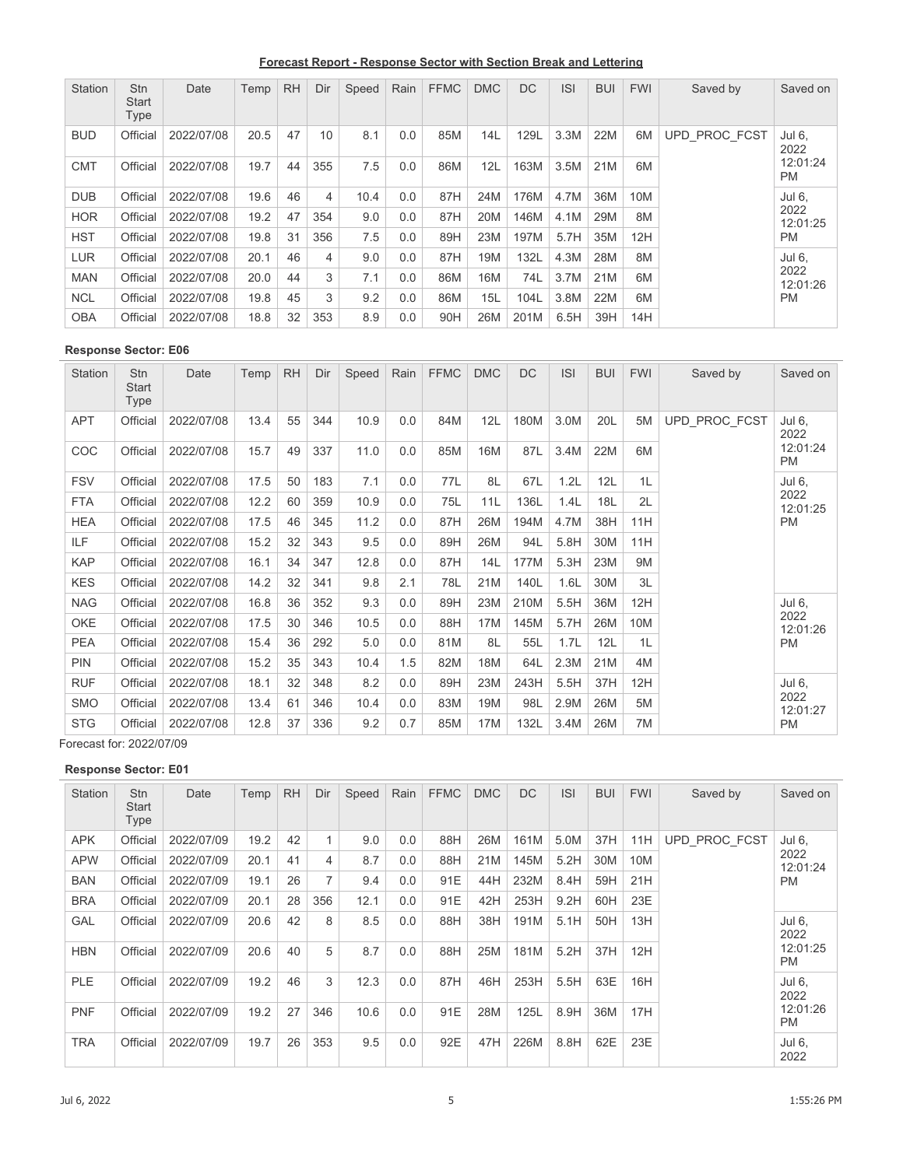**Forecast Report - Response Sector with Section Break and Lettering**

| Station    | <b>Stn</b><br><b>Start</b><br>Type | Date       | Temp | <b>RH</b> | Dir | Speed | Rain | <b>FFMC</b> | <b>DMC</b> | <b>DC</b> | <b>ISI</b> | <b>BUI</b> | <b>FWI</b> | Saved by      | Saved on              |
|------------|------------------------------------|------------|------|-----------|-----|-------|------|-------------|------------|-----------|------------|------------|------------|---------------|-----------------------|
| <b>BUD</b> | Official                           | 2022/07/08 | 20.5 | 47        | 10  | 8.1   | 0.0  | 85M         | 14L        | 129L      | 3.3M       | 22M        | 6M         | UPD PROC FCST | Jul 6,<br>2022        |
| <b>CMT</b> | Official                           | 2022/07/08 | 19.7 | 44        | 355 | 7.5   | 0.0  | 86M         | 12L        | 163M      | 3.5M       | 21M        | 6M         |               | 12:01:24<br><b>PM</b> |
| <b>DUB</b> | Official                           | 2022/07/08 | 19.6 | 46        | 4   | 10.4  | 0.0  | 87H         | 24M        | 176M      | 4.7M       | 36M        | 10M        |               | Jul 6.                |
| <b>HOR</b> | Official                           | 2022/07/08 | 19.2 | 47        | 354 | 9.0   | 0.0  | 87H         | 20M        | 146M      | 4.1M       | 29M        | 8M         |               | 2022<br>12:01:25      |
| <b>HST</b> | Official                           | 2022/07/08 | 19.8 | 31        | 356 | 7.5   | 0.0  | 89H         | 23M        | 197M      | 5.7H       | 35M        | 12H        |               | <b>PM</b>             |
| <b>LUR</b> | Official                           | 2022/07/08 | 20.1 | 46        | 4   | 9.0   | 0.0  | 87H         | 19M        | 132L      | 4.3M       | 28M        | 8M         |               | Jul 6.                |
| <b>MAN</b> | Official                           | 2022/07/08 | 20.0 | 44        | 3   | 7.1   | 0.0  | 86M         | 16M        | 74L       | 3.7M       | 21M        | 6M         |               | 2022<br>12:01:26      |
| <b>NCL</b> | Official                           | 2022/07/08 | 19.8 | 45        | 3   | 9.2   | 0.0  | 86M         | 15L        | 104L      | 3.8M       | 22M        | 6M         |               | <b>PM</b>             |
| <b>OBA</b> | Official                           | 2022/07/08 | 18.8 | 32        | 353 | 8.9   | 0.0  | 90H         | 26M        | 201M      | 6.5H       | 39H        | 14H        |               |                       |

| Station    | Stn<br><b>Start</b><br>Type | Date       | Temp | <b>RH</b> | Dir | Speed | Rain | <b>FFMC</b> | <b>DMC</b>      | <b>DC</b> | <b>ISI</b> | <b>BUI</b> | <b>FWI</b> | Saved by      | Saved on              |
|------------|-----------------------------|------------|------|-----------|-----|-------|------|-------------|-----------------|-----------|------------|------------|------------|---------------|-----------------------|
| <b>APT</b> | Official                    | 2022/07/08 | 13.4 | 55        | 344 | 10.9  | 0.0  | 84M         | 12L             | 180M      | 3.0M       | 20L        | 5M         | UPD_PROC_FCST | Jul 6,<br>2022        |
| COC        | Official                    | 2022/07/08 | 15.7 | 49        | 337 | 11.0  | 0.0  | 85M         | 16M             | 87L       | 3.4M       | 22M        | 6M         |               | 12:01:24<br><b>PM</b> |
| <b>FSV</b> | Official                    | 2022/07/08 | 17.5 | 50        | 183 | 7.1   | 0.0  | 77L         | 8L              | 67L       | 1.2L       | 12L        | 1L         |               | Jul 6,                |
| <b>FTA</b> | Official                    | 2022/07/08 | 12.2 | 60        | 359 | 10.9  | 0.0  | 75L         | 11L             | 136L      | 1.4L       | 18L        | 2L         |               | 2022<br>12:01:25      |
| <b>HEA</b> | Official                    | 2022/07/08 | 17.5 | 46        | 345 | 11.2  | 0.0  | 87H         | 26M             | 194M      | 4.7M       | 38H        | 11H        |               | <b>PM</b>             |
| <b>ILF</b> | Official                    | 2022/07/08 | 15.2 | 32        | 343 | 9.5   | 0.0  | 89H         | 26M             | 94L       | 5.8H       | 30M        | 11H        |               |                       |
| <b>KAP</b> | Official                    | 2022/07/08 | 16.1 | 34        | 347 | 12.8  | 0.0  | 87H         | 14L             | 177M      | 5.3H       | 23M        | 9M         |               |                       |
| <b>KES</b> | Official                    | 2022/07/08 | 14.2 | 32        | 341 | 9.8   | 2.1  | 78L         | 21M             | 140L      | 1.6L       | 30M        | 3L         |               |                       |
| <b>NAG</b> | Official                    | 2022/07/08 | 16.8 | 36        | 352 | 9.3   | 0.0  | 89H         | 23M             | 210M      | 5.5H       | 36M        | 12H        |               | Jul 6,                |
| <b>OKE</b> | Official                    | 2022/07/08 | 17.5 | 30        | 346 | 10.5  | 0.0  | 88H         | 17 <sub>M</sub> | 145M      | 5.7H       | 26M        | 10M        |               | 2022<br>12:01:26      |
| <b>PEA</b> | Official                    | 2022/07/08 | 15.4 | 36        | 292 | 5.0   | 0.0  | 81M         | 8L              | 55L       | 1.7L       | 12L        | 1L         |               | <b>PM</b>             |
| <b>PIN</b> | Official                    | 2022/07/08 | 15.2 | 35        | 343 | 10.4  | 1.5  | 82M         | 18M             | 64L       | 2.3M       | 21M        | 4M         |               |                       |
| <b>RUF</b> | Official                    | 2022/07/08 | 18.1 | 32        | 348 | 8.2   | 0.0  | 89H         | 23M             | 243H      | 5.5H       | 37H        | 12H        |               | Jul 6,                |
| <b>SMO</b> | Official                    | 2022/07/08 | 13.4 | 61        | 346 | 10.4  | 0.0  | 83M         | 19M             | 98L       | 2.9M       | 26M        | 5M         |               | 2022<br>12:01:27      |
| <b>STG</b> | Official                    | 2022/07/08 | 12.8 | 37        | 336 | 9.2   | 0.7  | 85M         | 17M             | 132L      | 3.4M       | 26M        | 7M         |               | <b>PM</b>             |

Forecast for: 2022/07/09

| <b>Station</b> | <b>Stn</b><br><b>Start</b><br>Type | Date       | Temp | <b>RH</b> | Dir | Speed | Rain | <b>FFMC</b> | <b>DMC</b> | <b>DC</b> | <b>ISI</b> | <b>BUI</b> | <b>FWI</b> | Saved by      | Saved on              |
|----------------|------------------------------------|------------|------|-----------|-----|-------|------|-------------|------------|-----------|------------|------------|------------|---------------|-----------------------|
| <b>APK</b>     | Official                           | 2022/07/09 | 19.2 | 42        | 1   | 9.0   | 0.0  | 88H         | 26M        | 161M      | 5.0M       | 37H        | 11H        | UPD PROC FCST | Jul 6,                |
| <b>APW</b>     | Official                           | 2022/07/09 | 20.1 | 41        | 4   | 8.7   | 0.0  | 88H         | 21M        | 145M      | 5.2H       | 30M        | 10M        |               | 2022<br>12:01:24      |
| <b>BAN</b>     | Official                           | 2022/07/09 | 19.1 | 26        | 7   | 9.4   | 0.0  | 91E         | 44H        | 232M      | 8.4H       | 59H        | 21H        |               | <b>PM</b>             |
| <b>BRA</b>     | Official                           | 2022/07/09 | 20.1 | 28        | 356 | 12.1  | 0.0  | 91E         | 42H        | 253H      | 9.2H       | 60H        | 23E        |               |                       |
| <b>GAL</b>     | Official                           | 2022/07/09 | 20.6 | 42        | 8   | 8.5   | 0.0  | 88H         | 38H        | 191M      | 5.1H       | 50H        | 13H        |               | Jul 6.<br>2022        |
| <b>HBN</b>     | Official                           | 2022/07/09 | 20.6 | 40        | 5   | 8.7   | 0.0  | 88H         | 25M        | 181M      | 5.2H       | 37H        | 12H        |               | 12:01:25<br><b>PM</b> |
| <b>PLE</b>     | Official                           | 2022/07/09 | 19.2 | 46        | 3   | 12.3  | 0.0  | 87H         | 46H        | 253H      | 5.5H       | 63E        | 16H        |               | Jul 6.<br>2022        |
| <b>PNF</b>     | Official                           | 2022/07/09 | 19.2 | 27        | 346 | 10.6  | 0.0  | 91E         | 28M        | 125L      | 8.9H       | 36M        | 17H        |               | 12:01:26<br><b>PM</b> |
| <b>TRA</b>     | Official                           | 2022/07/09 | 19.7 | 26        | 353 | 9.5   | 0.0  | 92E         | 47H        | 226M      | 8.8H       | 62E        | 23E        |               | Jul 6,<br>2022        |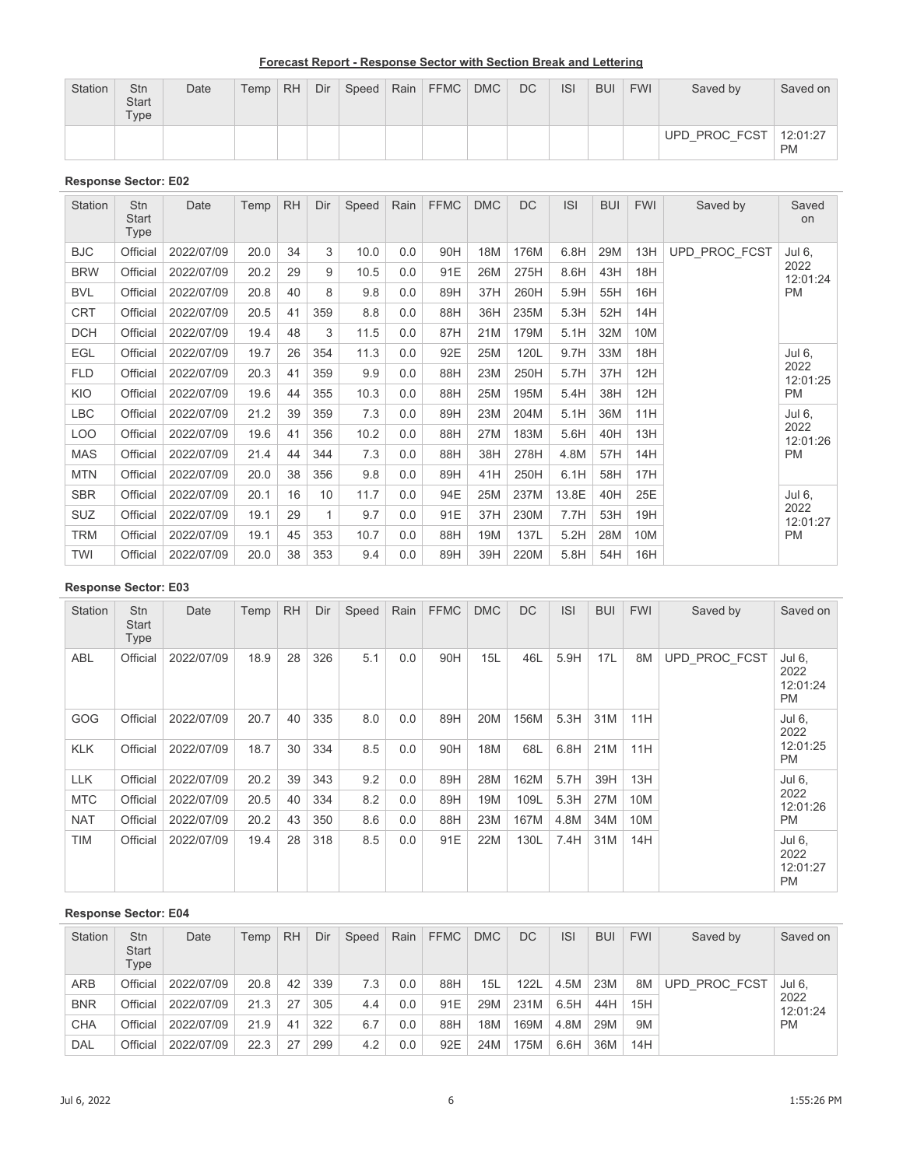| <b>Station</b> | Stn<br><b>Start</b><br>Type | Date | Temp <sub>1</sub> | <b>RH</b> | Dir | Speed | Rain FFMC DMC | <b>DC</b> | <b>ISI</b> | <b>BUI</b> | <b>FWI</b> | Saved by      | Saved on              |
|----------------|-----------------------------|------|-------------------|-----------|-----|-------|---------------|-----------|------------|------------|------------|---------------|-----------------------|
|                |                             |      |                   |           |     |       |               |           |            |            |            | UPD PROC FCST | 12:01:27<br><b>PM</b> |

| <b>Station</b> | Stn<br>Start<br>Type | Date       | Temp | <b>RH</b> | Dir             | Speed | Rain | <b>FFMC</b> | <b>DMC</b> | <b>DC</b> | <b>ISI</b> | <b>BUI</b> | <b>FWI</b> | Saved by      | Saved<br>on      |
|----------------|----------------------|------------|------|-----------|-----------------|-------|------|-------------|------------|-----------|------------|------------|------------|---------------|------------------|
| <b>BJC</b>     | Official             | 2022/07/09 | 20.0 | 34        | 3               | 10.0  | 0.0  | 90H         | 18M        | 176M      | 6.8H       | 29M        | 13H        | UPD PROC FCST | Jul 6,           |
| <b>BRW</b>     | Official             | 2022/07/09 | 20.2 | 29        | 9               | 10.5  | 0.0  | 91E         | 26M        | 275H      | 8.6H       | 43H        | 18H        |               | 2022<br>12:01:24 |
| <b>BVL</b>     | Official             | 2022/07/09 | 20.8 | 40        | 8               | 9.8   | 0.0  | 89H         | 37H        | 260H      | 5.9H       | 55H        | 16H        |               | <b>PM</b>        |
| <b>CRT</b>     | Official             | 2022/07/09 | 20.5 | 41        | 359             | 8.8   | 0.0  | 88H         | 36H        | 235M      | 5.3H       | 52H        | 14H        |               |                  |
| <b>DCH</b>     | Official             | 2022/07/09 | 19.4 | 48        | 3               | 11.5  | 0.0  | 87H         | 21M        | 179M      | 5.1H       | 32M        | 10M        |               |                  |
| <b>EGL</b>     | Official             | 2022/07/09 | 19.7 | 26        | 354             | 11.3  | 0.0  | 92E         | 25M        | 120L      | 9.7H       | 33M        | 18H        |               | Jul 6,           |
| <b>FLD</b>     | Official             | 2022/07/09 | 20.3 | 41        | 359             | 9.9   | 0.0  | 88H         | 23M        | 250H      | 5.7H       | 37H        | 12H        |               | 2022<br>12:01:25 |
| KIO            | Official             | 2022/07/09 | 19.6 | 44        | 355             | 10.3  | 0.0  | 88H         | 25M        | 195M      | 5.4H       | 38H        | 12H        |               | <b>PM</b>        |
| <b>LBC</b>     | Official             | 2022/07/09 | 21.2 | 39        | 359             | 7.3   | 0.0  | 89H         | 23M        | 204M      | 5.1H       | 36M        | 11H        |               | Jul 6,           |
| <b>LOO</b>     | Official             | 2022/07/09 | 19.6 | 41        | 356             | 10.2  | 0.0  | 88H         | 27M        | 183M      | 5.6H       | 40H        | 13H        |               | 2022<br>12:01:26 |
| <b>MAS</b>     | Official             | 2022/07/09 | 21.4 | 44        | 344             | 7.3   | 0.0  | 88H         | 38H        | 278H      | 4.8M       | 57H        | 14H        |               | <b>PM</b>        |
| <b>MTN</b>     | Official             | 2022/07/09 | 20.0 | 38        | 356             | 9.8   | 0.0  | 89H         | 41H        | 250H      | 6.1H       | 58H        | 17H        |               |                  |
| <b>SBR</b>     | Official             | 2022/07/09 | 20.1 | 16        | 10 <sup>°</sup> | 11.7  | 0.0  | 94E         | 25M        | 237M      | 13.8E      | 40H        | 25E        |               | Jul 6,           |
| <b>SUZ</b>     | Official             | 2022/07/09 | 19.1 | 29        | 1               | 9.7   | 0.0  | 91E         | 37H        | 230M      | 7.7H       | 53H        | 19H        |               | 2022<br>12:01:27 |
| TRM            | Official             | 2022/07/09 | 19.1 | 45        | 353             | 10.7  | 0.0  | 88H         | 19M        | 137L      | 5.2H       | 28M        | 10M        |               | <b>PM</b>        |
| TWI            | Official             | 2022/07/09 | 20.0 | 38        | 353             | 9.4   | 0.0  | 89H         | 39H        | 220M      | 5.8H       | 54H        | 16H        |               |                  |

## **Response Sector: E03**

| <b>Station</b> | Stn<br><b>Start</b><br>Type | Date       | Temp | <b>RH</b> | Dir | Speed | Rain | <b>FFMC</b> | <b>DMC</b> | DC   | <b>ISI</b> | <b>BUI</b> | <b>FWI</b> | Saved by      | Saved on                                |
|----------------|-----------------------------|------------|------|-----------|-----|-------|------|-------------|------------|------|------------|------------|------------|---------------|-----------------------------------------|
| ABL            | Official                    | 2022/07/09 | 18.9 | 28        | 326 | 5.1   | 0.0  | 90H         | 15L        | 46L  | 5.9H       | 17L        | 8M         | UPD PROC FCST | Jul 6,<br>2022<br>12:01:24<br><b>PM</b> |
| GOG            | Official                    | 2022/07/09 | 20.7 | 40        | 335 | 8.0   | 0.0  | 89H         | 20M        | 156M | 5.3H       | 31M        | 11H        |               | Jul 6,<br>2022                          |
| <b>KLK</b>     | Official                    | 2022/07/09 | 18.7 | 30        | 334 | 8.5   | 0.0  | 90H         | 18M        | 68L  | 6.8H       | 21M        | 11H        |               | 12:01:25<br><b>PM</b>                   |
| <b>LLK</b>     | Official                    | 2022/07/09 | 20.2 | 39        | 343 | 9.2   | 0.0  | 89H         | 28M        | 162M | 5.7H       | 39H        | 13H        |               | Jul 6,                                  |
| <b>MTC</b>     | Official                    | 2022/07/09 | 20.5 | 40        | 334 | 8.2   | 0.0  | 89H         | 19M        | 109L | 5.3H       | 27M        | 10M        |               | 2022<br>12:01:26                        |
| <b>NAT</b>     | Official                    | 2022/07/09 | 20.2 | 43        | 350 | 8.6   | 0.0  | 88H         | 23M        | 167M | 4.8M       | 34M        | 10M        |               | <b>PM</b>                               |
| <b>TIM</b>     | Official                    | 2022/07/09 | 19.4 | 28        | 318 | 8.5   | 0.0  | 91E         | 22M        | 130L | 7.4H       | 31M        | 14H        |               | Jul 6,<br>2022<br>12:01:27<br><b>PM</b> |

| <b>Station</b> | <b>Stn</b><br><b>Start</b><br>Type | Date       | Temp | <b>RH</b> | Dir | Speed | Rain | <b>FFMC</b> | <b>DMC</b> | DC   | <b>ISI</b> | <b>BUI</b> | <b>FWI</b> | Saved by      | Saved on         |
|----------------|------------------------------------|------------|------|-----------|-----|-------|------|-------------|------------|------|------------|------------|------------|---------------|------------------|
| <b>ARB</b>     | Official                           | 2022/07/09 | 20.8 | 42        | 339 | 7.3   | 0.0  | 88H         | 15L        | 122L | 4.5M       | 23M        | 8M         | UPD PROC FCST | Jul 6.           |
| <b>BNR</b>     | Official                           | 2022/07/09 | 21.3 | 27        | 305 | 4.4   | 0.0  | 91E         | 29M        | 231M | 6.5H       | 44H        | 15H        |               | 2022<br>12:01:24 |
| <b>CHA</b>     | Official                           | 2022/07/09 | 21.9 | 41        | 322 | 6.7   | 0.0  | 88H         | 18M        | 169M | 4.8M       | 29M        | 9M         |               | <b>PM</b>        |
| DAL            | Official                           | 2022/07/09 | 22.3 | 27        | 299 | 4.2   | 0.0  | 92E         | 24M        | 175M | 6.6H       | 36M        | 14H        |               |                  |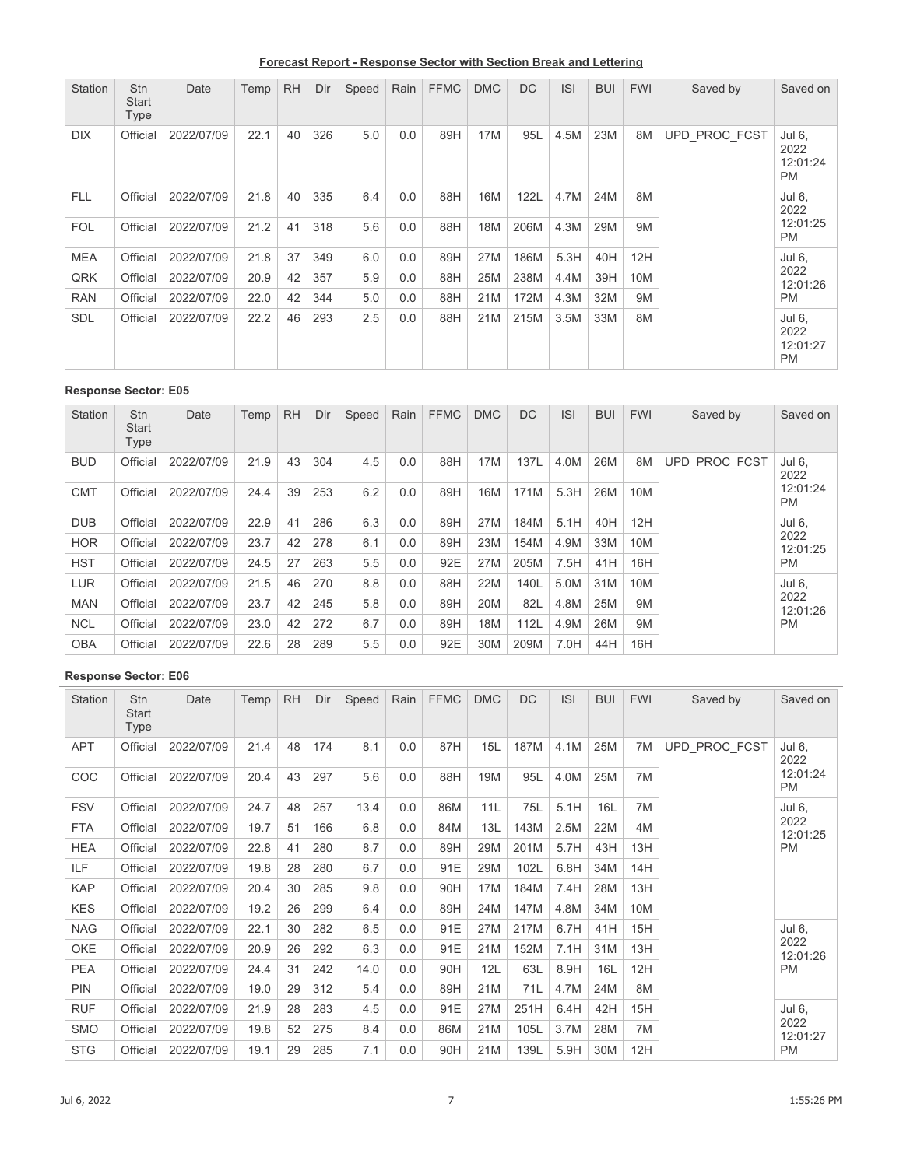**Forecast Report - Response Sector with Section Break and Lettering**

| Station    | <b>Stn</b><br><b>Start</b><br>Type | Date       | Temp | <b>RH</b> | Dir | Speed | Rain | <b>FFMC</b> | <b>DMC</b> | <b>DC</b> | <b>ISI</b> | <b>BUI</b> | <b>FWI</b> | Saved by      | Saved on                                |
|------------|------------------------------------|------------|------|-----------|-----|-------|------|-------------|------------|-----------|------------|------------|------------|---------------|-----------------------------------------|
| <b>DIX</b> | Official                           | 2022/07/09 | 22.1 | 40        | 326 | 5.0   | 0.0  | 89H         | 17M        | 95L       | 4.5M       | 23M        | 8M         | UPD PROC FCST | Jul 6,<br>2022<br>12:01:24<br><b>PM</b> |
| <b>FLL</b> | Official                           | 2022/07/09 | 21.8 | 40        | 335 | 6.4   | 0.0  | 88H         | 16M        | 122L      | 4.7M       | 24M        | 8M         |               | Jul 6,<br>2022                          |
| <b>FOL</b> | Official                           | 2022/07/09 | 21.2 | 41        | 318 | 5.6   | 0.0  | 88H         | 18M        | 206M      | 4.3M       | 29M        | 9M         |               | 12:01:25<br><b>PM</b>                   |
| <b>MEA</b> | Official                           | 2022/07/09 | 21.8 | 37        | 349 | 6.0   | 0.0  | 89H         | 27M        | 186M      | 5.3H       | 40H        | 12H        |               | Jul 6,                                  |
| QRK        | Official                           | 2022/07/09 | 20.9 | 42        | 357 | 5.9   | 0.0  | 88H         | 25M        | 238M      | 4.4M       | 39H        | 10M        |               | 2022<br>12:01:26                        |
| <b>RAN</b> | Official                           | 2022/07/09 | 22.0 | 42        | 344 | 5.0   | 0.0  | 88H         | 21M        | 172M      | 4.3M       | 32M        | 9M         |               | <b>PM</b>                               |
| <b>SDL</b> | Official                           | 2022/07/09 | 22.2 | 46        | 293 | 2.5   | 0.0  | 88H         | 21M        | 215M      | 3.5M       | 33M        | 8M         |               | Jul 6,<br>2022<br>12:01:27<br><b>PM</b> |

| Station    | <b>Stn</b><br><b>Start</b><br>Type | Date       | Temp | <b>RH</b> | Dir | Speed | Rain | <b>FFMC</b> | <b>DMC</b> | <b>DC</b> | <b>ISI</b> | <b>BUI</b> | <b>FWI</b> | Saved by      | Saved on              |
|------------|------------------------------------|------------|------|-----------|-----|-------|------|-------------|------------|-----------|------------|------------|------------|---------------|-----------------------|
| <b>BUD</b> | Official                           | 2022/07/09 | 21.9 | 43        | 304 | 4.5   | 0.0  | 88H         | 17M        | 137L      | 4.0M       | 26M        | 8M         | UPD PROC FCST | Jul 6,<br>2022        |
| <b>CMT</b> | Official                           | 2022/07/09 | 24.4 | 39        | 253 | 6.2   | 0.0  | 89H         | 16M        | 171M      | 5.3H       | 26M        | 10M        |               | 12:01:24<br><b>PM</b> |
| <b>DUB</b> | Official                           | 2022/07/09 | 22.9 | 41        | 286 | 6.3   | 0.0  | 89H         | 27M        | 184M      | 5.1H       | 40H        | 12H        |               | Jul 6,                |
| <b>HOR</b> | Official                           | 2022/07/09 | 23.7 | 42        | 278 | 6.1   | 0.0  | 89H         | 23M        | 154M      | 4.9M       | 33M        | 10M        |               | 2022<br>12:01:25      |
| <b>HST</b> | Official                           | 2022/07/09 | 24.5 | 27        | 263 | 5.5   | 0.0  | 92E         | 27M        | 205M      | 7.5H       | 41H        | 16H        |               | <b>PM</b>             |
| LUR        | Official                           | 2022/07/09 | 21.5 | 46        | 270 | 8.8   | 0.0  | 88H         | 22M        | 140L      | 5.0M       | 31M        | 10M        |               | Jul 6.                |
| <b>MAN</b> | Official                           | 2022/07/09 | 23.7 | 42        | 245 | 5.8   | 0.0  | 89H         | 20M        | 82L       | 4.8M       | 25M        | 9M         |               | 2022<br>12:01:26      |
| <b>NCL</b> | Official                           | 2022/07/09 | 23.0 | 42        | 272 | 6.7   | 0.0  | 89H         | 18M        | 112L      | 4.9M       | 26M        | 9M         |               | <b>PM</b>             |
| <b>OBA</b> | Official                           | 2022/07/09 | 22.6 | 28        | 289 | 5.5   | 0.0  | 92E         | 30M        | 209M      | 7.0H       | 44H        | 16H        |               |                       |

| Station    | Stn<br><b>Start</b><br>Type | Date       | Temp | <b>RH</b> | Dir | Speed | Rain | <b>FFMC</b> | <b>DMC</b> | <b>DC</b> | <b>ISI</b> | <b>BUI</b> | <b>FWI</b> | Saved by      | Saved on              |
|------------|-----------------------------|------------|------|-----------|-----|-------|------|-------------|------------|-----------|------------|------------|------------|---------------|-----------------------|
| <b>APT</b> | Official                    | 2022/07/09 | 21.4 | 48        | 174 | 8.1   | 0.0  | 87H         | 15L        | 187M      | 4.1M       | 25M        | 7M         | UPD PROC FCST | Jul 6,<br>2022        |
| <b>COC</b> | Official                    | 2022/07/09 | 20.4 | 43        | 297 | 5.6   | 0.0  | 88H         | 19M        | 95L       | 4.0M       | 25M        | 7M         |               | 12:01:24<br><b>PM</b> |
| <b>FSV</b> | Official                    | 2022/07/09 | 24.7 | 48        | 257 | 13.4  | 0.0  | 86M         | 11L        | 75L       | 5.1H       | 16L        | 7M         |               | Jul 6,                |
| <b>FTA</b> | Official                    | 2022/07/09 | 19.7 | 51        | 166 | 6.8   | 0.0  | 84M         | 13L        | 143M      | 2.5M       | 22M        | 4M         |               | 2022<br>12:01:25      |
| <b>HEA</b> | Official                    | 2022/07/09 | 22.8 | 41        | 280 | 8.7   | 0.0  | 89H         | 29M        | 201M      | 5.7H       | 43H        | 13H        |               | <b>PM</b>             |
| ILF        | Official                    | 2022/07/09 | 19.8 | 28        | 280 | 6.7   | 0.0  | 91E         | 29M        | 102L      | 6.8H       | 34M        | 14H        |               |                       |
| <b>KAP</b> | Official                    | 2022/07/09 | 20.4 | 30        | 285 | 9.8   | 0.0  | 90H         | 17M        | 184M      | 7.4H       | 28M        | 13H        |               |                       |
| <b>KES</b> | Official                    | 2022/07/09 | 19.2 | 26        | 299 | 6.4   | 0.0  | 89H         | 24M        | 147M      | 4.8M       | 34M        | 10M        |               |                       |
| <b>NAG</b> | Official                    | 2022/07/09 | 22.1 | 30        | 282 | 6.5   | 0.0  | 91E         | 27M        | 217M      | 6.7H       | 41H        | 15H        |               | Jul 6,                |
| OKE        | Official                    | 2022/07/09 | 20.9 | 26        | 292 | 6.3   | 0.0  | 91E         | 21M        | 152M      | 7.1H       | 31M        | 13H        |               | 2022<br>12:01:26      |
| <b>PEA</b> | Official                    | 2022/07/09 | 24.4 | 31        | 242 | 14.0  | 0.0  | 90H         | 12L        | 63L       | 8.9H       | 16L        | 12H        |               | PM                    |
| <b>PIN</b> | Official                    | 2022/07/09 | 19.0 | 29        | 312 | 5.4   | 0.0  | 89H         | 21M        | 71L       | 4.7M       | 24M        | 8M         |               |                       |
| <b>RUF</b> | Official                    | 2022/07/09 | 21.9 | 28        | 283 | 4.5   | 0.0  | 91E         | 27M        | 251H      | 6.4H       | 42H        | 15H        |               | Jul 6,                |
| <b>SMO</b> | Official                    | 2022/07/09 | 19.8 | 52        | 275 | 8.4   | 0.0  | 86M         | 21M        | 105L      | 3.7M       | 28M        | 7M         |               | 2022<br>12:01:27      |
| <b>STG</b> | Official                    | 2022/07/09 | 19.1 | 29        | 285 | 7.1   | 0.0  | 90H         | 21M        | 139L      | 5.9H       | 30M        | 12H        |               | PM                    |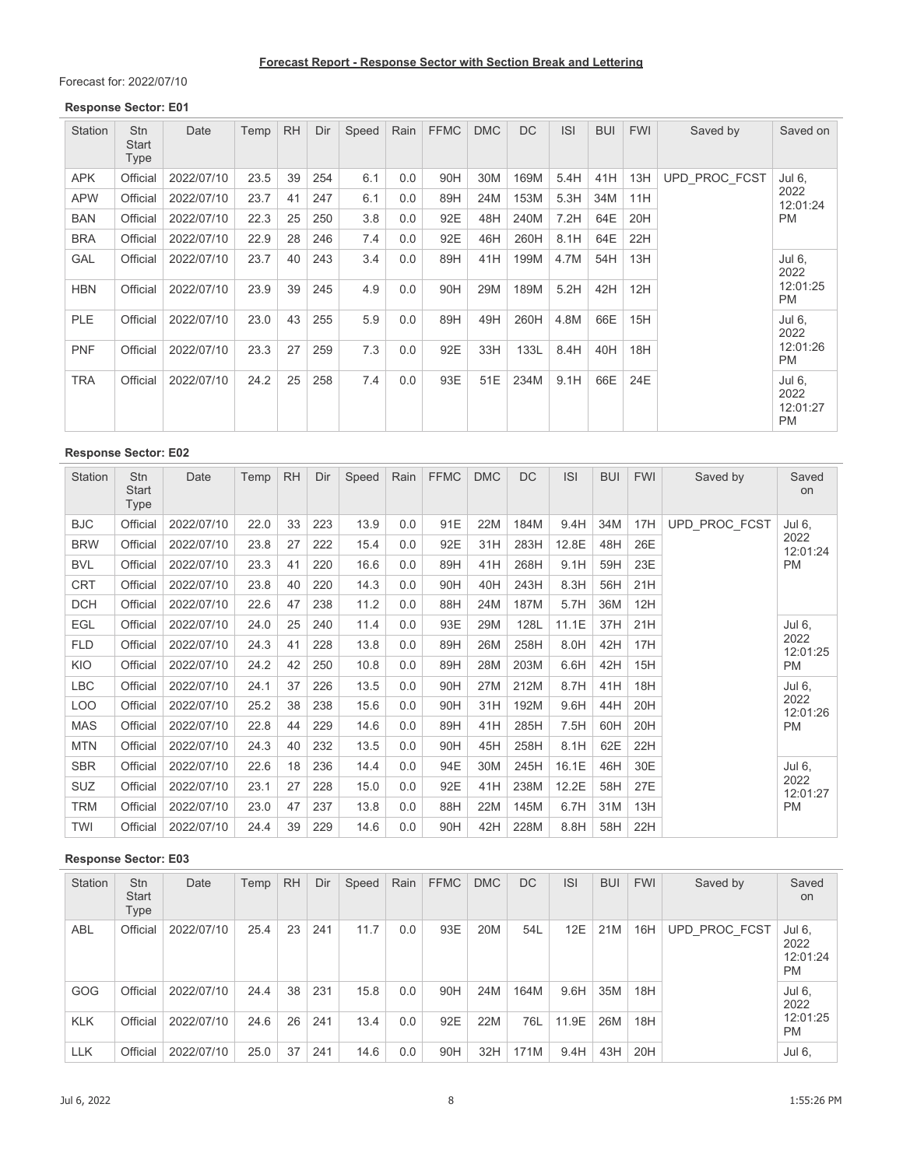Forecast for: 2022/07/10

#### **Response Sector: E01**

| <b>Station</b> | Stn<br><b>Start</b><br>Type | Date       | Temp | <b>RH</b> | Dir | Speed | Rain | <b>FFMC</b> | <b>DMC</b> | <b>DC</b> | <b>ISI</b> | <b>BUI</b> | <b>FWI</b> | Saved by      | Saved on                                |
|----------------|-----------------------------|------------|------|-----------|-----|-------|------|-------------|------------|-----------|------------|------------|------------|---------------|-----------------------------------------|
| <b>APK</b>     | Official                    | 2022/07/10 | 23.5 | 39        | 254 | 6.1   | 0.0  | 90H         | 30M        | 169M      | 5.4H       | 41H        | 13H        | UPD PROC FCST | Jul 6,                                  |
| <b>APW</b>     | Official                    | 2022/07/10 | 23.7 | 41        | 247 | 6.1   | 0.0  | 89H         | 24M        | 153M      | 5.3H       | 34M        | 11H        |               | 2022<br>12:01:24                        |
| BAN            | Official                    | 2022/07/10 | 22.3 | 25        | 250 | 3.8   | 0.0  | 92E         | 48H        | 240M      | 7.2H       | 64E        | 20H        |               | <b>PM</b>                               |
| <b>BRA</b>     | Official                    | 2022/07/10 | 22.9 | 28        | 246 | 7.4   | 0.0  | 92E         | 46H        | 260H      | 8.1H       | 64E        | 22H        |               |                                         |
| GAL            | Official                    | 2022/07/10 | 23.7 | 40        | 243 | 3.4   | 0.0  | 89H         | 41H        | 199M      | 4.7M       | 54H        | 13H        |               | Jul 6,<br>2022                          |
| <b>HBN</b>     | Official                    | 2022/07/10 | 23.9 | 39        | 245 | 4.9   | 0.0  | 90H         | 29M        | 189M      | 5.2H       | 42H        | 12H        |               | 12:01:25<br><b>PM</b>                   |
| <b>PLE</b>     | Official                    | 2022/07/10 | 23.0 | 43        | 255 | 5.9   | 0.0  | 89H         | 49H        | 260H      | 4.8M       | 66E        | 15H        |               | Jul 6,<br>2022                          |
| <b>PNF</b>     | Official                    | 2022/07/10 | 23.3 | 27        | 259 | 7.3   | 0.0  | 92E         | 33H        | 133L      | 8.4H       | 40H        | 18H        |               | 12:01:26<br><b>PM</b>                   |
| <b>TRA</b>     | Official                    | 2022/07/10 | 24.2 | 25        | 258 | 7.4   | 0.0  | 93E         | 51E        | 234M      | 9.1H       | 66E        | 24E        |               | Jul 6,<br>2022<br>12:01:27<br><b>PM</b> |

### **Response Sector: E02**

| Station    | <b>Stn</b><br><b>Start</b><br>Type | Date       | Temp | <b>RH</b> | Dir | Speed | Rain | <b>FFMC</b> | <b>DMC</b> | <b>DC</b> | <b>ISI</b> | <b>BUI</b> | <b>FWI</b> | Saved by      | Saved<br>on      |
|------------|------------------------------------|------------|------|-----------|-----|-------|------|-------------|------------|-----------|------------|------------|------------|---------------|------------------|
| <b>BJC</b> | Official                           | 2022/07/10 | 22.0 | 33        | 223 | 13.9  | 0.0  | 91E         | 22M        | 184M      | 9.4H       | 34M        | 17H        | UPD_PROC_FCST | Jul 6,           |
| <b>BRW</b> | Official                           | 2022/07/10 | 23.8 | 27        | 222 | 15.4  | 0.0  | 92E         | 31H        | 283H      | 12.8E      | 48H        | 26E        |               | 2022<br>12:01:24 |
| <b>BVL</b> | Official                           | 2022/07/10 | 23.3 | 41        | 220 | 16.6  | 0.0  | 89H         | 41H        | 268H      | 9.1H       | 59H        | 23E        |               | <b>PM</b>        |
| <b>CRT</b> | Official                           | 2022/07/10 | 23.8 | 40        | 220 | 14.3  | 0.0  | 90H         | 40H        | 243H      | 8.3H       | 56H        | 21H        |               |                  |
| <b>DCH</b> | Official                           | 2022/07/10 | 22.6 | 47        | 238 | 11.2  | 0.0  | 88H         | 24M        | 187M      | 5.7H       | 36M        | 12H        |               |                  |
| <b>EGL</b> | Official                           | 2022/07/10 | 24.0 | 25        | 240 | 11.4  | 0.0  | 93E         | 29M        | 128L      | 11.1E      | 37H        | 21H        |               | Jul 6,           |
| <b>FLD</b> | Official                           | 2022/07/10 | 24.3 | 41        | 228 | 13.8  | 0.0  | 89H         | 26M        | 258H      | 8.0H       | 42H        | 17H        |               | 2022<br>12:01:25 |
| KIO        | Official                           | 2022/07/10 | 24.2 | 42        | 250 | 10.8  | 0.0  | 89H         | 28M        | 203M      | 6.6H       | 42H        | 15H        |               | <b>PM</b>        |
| <b>LBC</b> | Official                           | 2022/07/10 | 24.1 | 37        | 226 | 13.5  | 0.0  | 90H         | 27M        | 212M      | 8.7H       | 41H        | 18H        |               | Jul 6,           |
| <b>LOO</b> | Official                           | 2022/07/10 | 25.2 | 38        | 238 | 15.6  | 0.0  | 90H         | 31H        | 192M      | 9.6H       | 44H        | 20H        |               | 2022<br>12:01:26 |
| <b>MAS</b> | Official                           | 2022/07/10 | 22.8 | 44        | 229 | 14.6  | 0.0  | 89H         | 41H        | 285H      | 7.5H       | 60H        | 20H        |               | <b>PM</b>        |
| <b>MTN</b> | Official                           | 2022/07/10 | 24.3 | 40        | 232 | 13.5  | 0.0  | 90H         | 45H        | 258H      | 8.1H       | 62E        | 22H        |               |                  |
| <b>SBR</b> | Official                           | 2022/07/10 | 22.6 | 18        | 236 | 14.4  | 0.0  | 94E         | 30M        | 245H      | 16.1E      | 46H        | 30E        |               | Jul 6,           |
| <b>SUZ</b> | Official                           | 2022/07/10 | 23.1 | 27        | 228 | 15.0  | 0.0  | 92E         | 41H        | 238M      | 12.2E      | 58H        | 27E        |               | 2022<br>12:01:27 |
| TRM        | Official                           | 2022/07/10 | 23.0 | 47        | 237 | 13.8  | 0.0  | 88H         | 22M        | 145M      | 6.7H       | 31M        | 13H        |               | <b>PM</b>        |
| TWI        | Official                           | 2022/07/10 | 24.4 | 39        | 229 | 14.6  | 0.0  | 90H         | 42H        | 228M      | 8.8H       | 58H        | 22H        |               |                  |

| Station    | <b>Stn</b><br><b>Start</b><br>Type | Date       | Temp | <b>RH</b> | Dir | Speed | Rain | <b>FFMC</b> | <b>DMC</b> | <b>DC</b> | <b>ISI</b> | <b>BUI</b> | <b>FWI</b> | Saved by      | Saved<br><b>on</b>                      |
|------------|------------------------------------|------------|------|-----------|-----|-------|------|-------------|------------|-----------|------------|------------|------------|---------------|-----------------------------------------|
| <b>ABL</b> | Official                           | 2022/07/10 | 25.4 | 23        | 241 | 11.7  | 0.0  | 93E         | 20M        | 54L       | 12E        | 21M        | 16H        | UPD PROC FCST | Jul 6,<br>2022<br>12:01:24<br><b>PM</b> |
| GOG        | Official                           | 2022/07/10 | 24.4 | 38        | 231 | 15.8  | 0.0  | 90H         | 24M        | 164M      | 9.6H       | 35M        | 18H        |               | Jul 6,<br>2022                          |
| <b>KLK</b> | Official                           | 2022/07/10 | 24.6 | 26        | 241 | 13.4  | 0.0  | 92E         | 22M        | 76L       | 11.9E      | 26M        | 18H        |               | 12:01:25<br><b>PM</b>                   |
| <b>LLK</b> | Official                           | 2022/07/10 | 25.0 | 37        | 241 | 14.6  | 0.0  | 90H         | 32H        | 171M      | 9.4H       | 43H        | 20H        |               | Jul 6,                                  |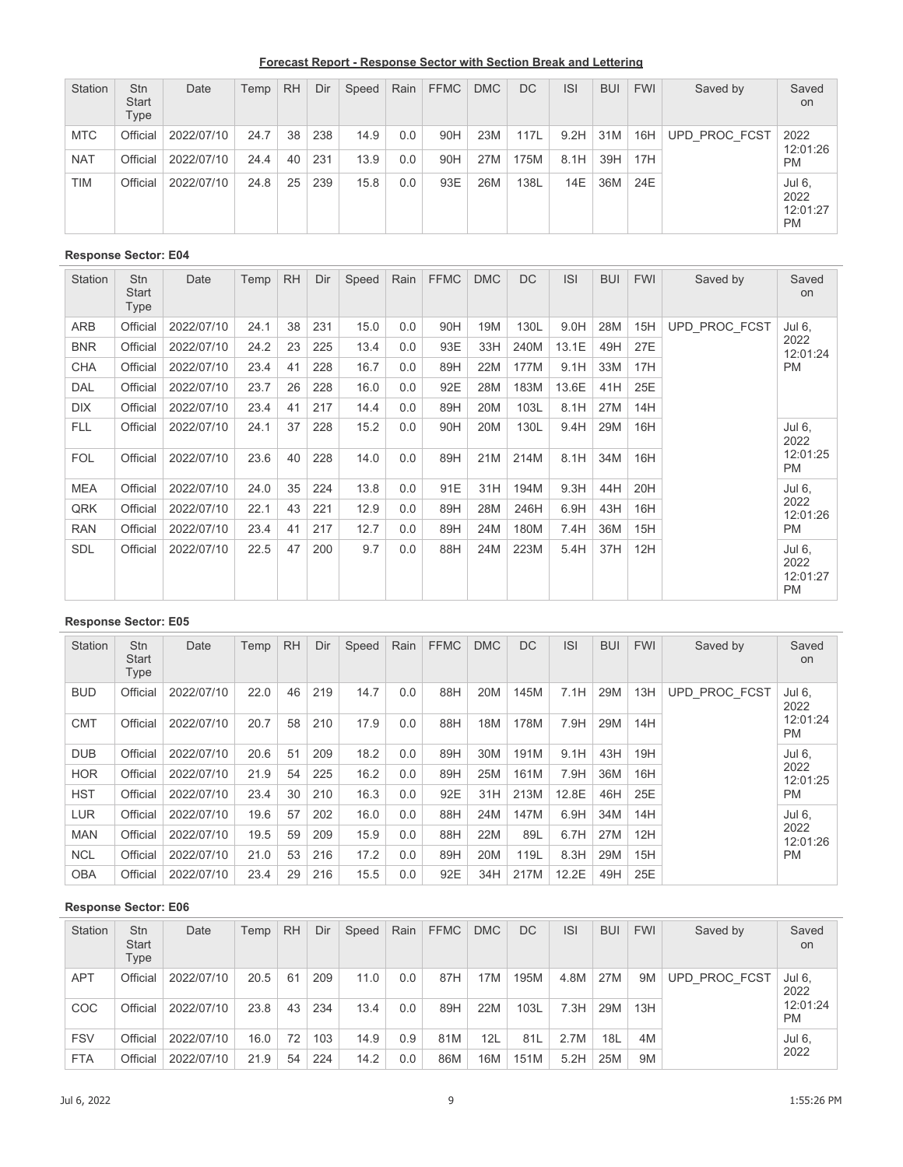**Forecast Report - Response Sector with Section Break and Lettering**

| Station    | <b>Stn</b><br><b>Start</b><br>Type | Date       | Temp | <b>RH</b> | Dir | Speed | Rain | <b>FFMC</b> | <b>DMC</b> | DC   | <b>ISI</b> | <b>BUI</b> | <b>FWI</b> | Saved by      | Saved<br>on                             |
|------------|------------------------------------|------------|------|-----------|-----|-------|------|-------------|------------|------|------------|------------|------------|---------------|-----------------------------------------|
| <b>MTC</b> | Official                           | 2022/07/10 | 24.7 | 38        | 238 | 14.9  | 0.0  | 90H         | 23M        | 117L | 9.2H       | 31M        | 16H        | UPD PROC FCST | 2022<br>12:01:26                        |
| <b>NAT</b> | Official                           | 2022/07/10 | 24.4 | 40        | 231 | 13.9  | 0.0  | 90H         | 27M        | 175M | 8.1H       | 39H        | 17H        |               | <b>PM</b>                               |
| <b>TIM</b> | Official                           | 2022/07/10 | 24.8 | 25        | 239 | 15.8  | 0.0  | 93E         | 26M        | 138L | 14E        | 36M        | 24E        |               | Jul 6,<br>2022<br>12:01:27<br><b>PM</b> |

| Station    | <b>Stn</b><br>Start<br>Type | Date       | Temp | <b>RH</b> | Dir | Speed | Rain | <b>FFMC</b> | <b>DMC</b> | <b>DC</b> | <b>ISI</b> | <b>BUI</b> | <b>FWI</b> | Saved by      | Saved<br>on                             |
|------------|-----------------------------|------------|------|-----------|-----|-------|------|-------------|------------|-----------|------------|------------|------------|---------------|-----------------------------------------|
| ARB        | Official                    | 2022/07/10 | 24.1 | 38        | 231 | 15.0  | 0.0  | 90H         | 19M        | 130L      | 9.0H       | 28M        | 15H        | UPD PROC FCST | Jul 6,                                  |
| <b>BNR</b> | Official                    | 2022/07/10 | 24.2 | 23        | 225 | 13.4  | 0.0  | 93E         | 33H        | 240M      | 13.1E      | 49H        | 27E        |               | 2022<br>12:01:24<br><b>PM</b>           |
| <b>CHA</b> | Official                    | 2022/07/10 | 23.4 | 41        | 228 | 16.7  | 0.0  | 89H         | 22M        | 177M      | 9.1H       | 33M        | 17H        |               |                                         |
| DAL        | Official                    | 2022/07/10 | 23.7 | 26        | 228 | 16.0  | 0.0  | 92E         | 28M        | 183M      | 13.6E      | 41H        | 25E        |               |                                         |
| <b>DIX</b> | Official                    | 2022/07/10 | 23.4 | 41        | 217 | 14.4  | 0.0  | 89H         | 20M        | 103L      | 8.1H       | 27M        | 14H        |               |                                         |
| <b>FLL</b> | Official                    | 2022/07/10 | 24.1 | 37        | 228 | 15.2  | 0.0  | 90H         | 20M        | 130L      | 9.4H       | 29M        | 16H        |               | Jul 6,<br>2022                          |
| <b>FOL</b> | Official                    | 2022/07/10 | 23.6 | 40        | 228 | 14.0  | 0.0  | 89H         | 21M        | 214M      | 8.1H       | 34M        | 16H        |               | 12:01:25<br><b>PM</b>                   |
| <b>MEA</b> | Official                    | 2022/07/10 | 24.0 | 35        | 224 | 13.8  | 0.0  | 91E         | 31H        | 194M      | 9.3H       | 44H        | 20H        |               | Jul 6,                                  |
| QRK        | Official                    | 2022/07/10 | 22.1 | 43        | 221 | 12.9  | 0.0  | 89H         | 28M        | 246H      | 6.9H       | 43H        | 16H        |               | 2022<br>12:01:26                        |
| <b>RAN</b> | Official                    | 2022/07/10 | 23.4 | 41        | 217 | 12.7  | 0.0  | 89H         | 24M        | 180M      | 7.4H       | 36M        | 15H        |               | <b>PM</b>                               |
| <b>SDL</b> | Official                    | 2022/07/10 | 22.5 | 47        | 200 | 9.7   | 0.0  | 88H         | 24M        | 223M      | 5.4H       | 37H        | 12H        |               | Jul 6,<br>2022<br>12:01:27<br><b>PM</b> |

# **Response Sector: E05**

| <b>Station</b> | <b>Stn</b><br><b>Start</b><br>Type | Date       | Temp | <b>RH</b> | Dir | Speed | Rain | <b>FFMC</b> | <b>DMC</b> | <b>DC</b> | <b>ISI</b> | <b>BUI</b> | <b>FWI</b> | Saved by      | Saved<br>on                             |
|----------------|------------------------------------|------------|------|-----------|-----|-------|------|-------------|------------|-----------|------------|------------|------------|---------------|-----------------------------------------|
| <b>BUD</b>     | Official                           | 2022/07/10 | 22.0 | 46        | 219 | 14.7  | 0.0  | 88H         | 20M        | 145M      | 7.1H       | 29M        | 13H        | UPD PROC FCST | Jul 6,<br>2022<br>12:01:24<br><b>PM</b> |
| <b>CMT</b>     | Official                           | 2022/07/10 | 20.7 | 58        | 210 | 17.9  | 0.0  | 88H         | 18M        | 178M      | 7.9H       | 29M        | 14H        |               |                                         |
| <b>DUB</b>     | Official                           | 2022/07/10 | 20.6 | 51        | 209 | 18.2  | 0.0  | 89H         | 30M        | 191M      | 9.1H       | 43H        | 19H        |               | Jul 6,                                  |
| <b>HOR</b>     | Official                           | 2022/07/10 | 21.9 | 54        | 225 | 16.2  | 0.0  | 89H         | 25M        | 161M      | 7.9H       | 36M        | 16H        |               | 2022<br>12:01:25<br><b>PM</b>           |
| <b>HST</b>     | Official                           | 2022/07/10 | 23.4 | 30        | 210 | 16.3  | 0.0  | 92E         | 31H        | 213M      | 12.8E      | 46H        | 25E        |               |                                         |
| <b>LUR</b>     | Official                           | 2022/07/10 | 19.6 | 57        | 202 | 16.0  | 0.0  | 88H         | 24M        | 147M      | 6.9H       | 34M        | 14H        |               | Jul 6,                                  |
| <b>MAN</b>     | Official                           | 2022/07/10 | 19.5 | 59        | 209 | 15.9  | 0.0  | 88H         | 22M        | 89L       | 6.7H       | 27M        | 12H        |               | 2022<br>12:01:26                        |
| <b>NCL</b>     | Official                           | 2022/07/10 | 21.0 | 53        | 216 | 17.2  | 0.0  | 89H         | 20M        | 119L      | 8.3H       | 29M        | 15H        |               | <b>PM</b>                               |
| <b>OBA</b>     | Official                           | 2022/07/10 | 23.4 | 29        | 216 | 15.5  | 0.0  | 92E         | 34H        | 217M      | 12.2E      | 49H        | 25E        |               |                                         |

| <b>Station</b> | <b>Stn</b><br><b>Start</b><br>Type | Date       | Temp | <b>RH</b> | Dir | Speed | Rain | <b>FFMC</b> | <b>DMC</b> | DC.  | <b>ISI</b> | <b>BUI</b> | <b>FWI</b>     | Saved by             | Saved<br>on           |
|----------------|------------------------------------|------------|------|-----------|-----|-------|------|-------------|------------|------|------------|------------|----------------|----------------------|-----------------------|
| <b>APT</b>     | Official                           | 2022/07/10 | 20.5 | 61        | 209 | 11.0  | 0.0  | 87H         | 17M        | 195M | 4.8M       | 27M        | 9 <sub>M</sub> | <b>UPD PROC FCST</b> | Jul 6,<br>2022        |
| COC            | Official                           | 2022/07/10 | 23.8 | 43        | 234 | 13.4  | 0.0  | 89H         | 22M        | 103L | 7.3H       | 29M        | 13H            |                      | 12:01:24<br><b>PM</b> |
| <b>FSV</b>     | Official                           | 2022/07/10 | 16.0 | 72        | 103 | 14.9  | 0.9  | 81M         | 12L        | 81L  | 2.7M       | 18L        | 4M             |                      | Jul 6,<br>2022        |
| <b>FTA</b>     | Official                           | 2022/07/10 | 21.9 | 54        | 224 | 14.2  | 0.0  | 86M         | 16M        | 151M | 5.2H       | 25M        | 9M             |                      |                       |